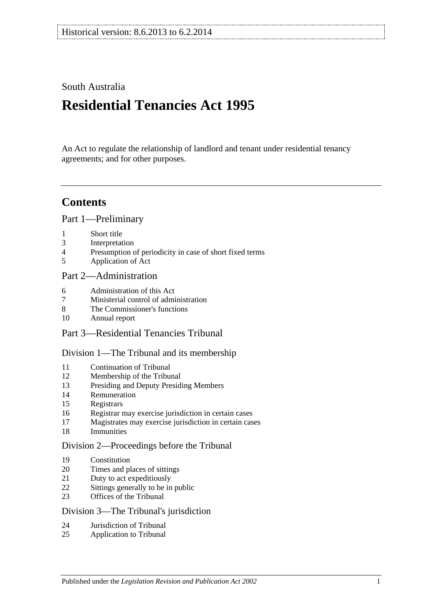## South Australia

# **Residential Tenancies Act 1995**

An Act to regulate the relationship of landlord and tenant under residential tenancy agreements; and for other purposes.

## **Contents**

[Part 1—Preliminary](#page-4-0)

- [Short title](#page-4-1)
- [Interpretation](#page-5-0)
- [Presumption of periodicity in case of short fixed terms](#page-7-0)
- [Application of Act](#page-7-1)

## [Part 2—Administration](#page-8-0)

- [Administration of this Act](#page-8-1)
- [Ministerial control of administration](#page-8-2)
- [The Commissioner's functions](#page-9-0)
- [Annual report](#page-9-1)
- Part [3—Residential Tenancies Tribunal](#page-9-2)

#### [Division 1—The Tribunal and its membership](#page-9-3)

- [Continuation of Tribunal](#page-9-4)
- [Membership of the Tribunal](#page-9-5)
- [Presiding and Deputy Presiding Members](#page-10-0)
- [Remuneration](#page-10-1)
- [Registrars](#page-10-2)
- [Registrar may exercise jurisdiction in certain cases](#page-10-3)
- [Magistrates may exercise jurisdiction in certain cases](#page-11-0)
- [Immunities](#page-11-1)

#### [Division 2—Proceedings before the Tribunal](#page-11-2)

- [Constitution](#page-11-3)
- [Times and places of sittings](#page-11-4)
- [Duty to act expeditiously](#page-11-5)
- [Sittings generally to be in public](#page-11-6)
- [Offices of the Tribunal](#page-11-7)

#### [Division 3—The Tribunal's jurisdiction](#page-12-0)

- [Jurisdiction of Tribunal](#page-12-1)
- [Application to Tribunal](#page-12-2)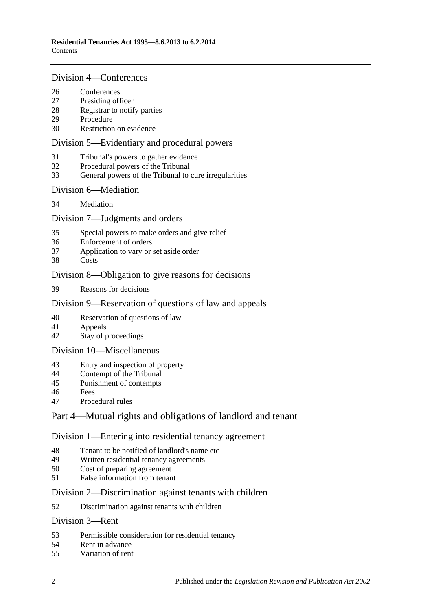#### [Division 4—Conferences](#page-13-0)

- [Conferences](#page-13-1)<br>27 Presiding off
- [Presiding officer](#page-13-2)
- [Registrar to notify parties](#page-13-3)
- [Procedure](#page-13-4)
- [Restriction on evidence](#page-13-5)

#### [Division 5—Evidentiary and procedural powers](#page-14-0)

- [Tribunal's powers to gather evidence](#page-14-1)
- [Procedural powers of the Tribunal](#page-14-2)
- [General powers of the Tribunal to cure irregularities](#page-15-0)

#### [Division 6—Mediation](#page-15-1)

[Mediation](#page-15-2)

### [Division 7—Judgments and orders](#page-16-0)

- [Special powers to make orders and give relief](#page-16-1)
- [Enforcement of orders](#page-16-2)
- [Application to vary or set aside order](#page-16-3)
- [Costs](#page-16-4)

### [Division 8—Obligation to give reasons for decisions](#page-17-0)

[Reasons for decisions](#page-17-1)

## [Division 9—Reservation of questions of law and appeals](#page-17-2)

- [Reservation of questions of law](#page-17-3)
- [Appeals](#page-17-4)
- [Stay of proceedings](#page-17-5)

#### [Division 10—Miscellaneous](#page-17-6)

- [Entry and inspection of property](#page-17-7)
- [Contempt of the Tribunal](#page-18-0)
- [Punishment of contempts](#page-18-1)
- [Fees](#page-18-2)
- [Procedural rules](#page-18-3)

## [Part 4—Mutual rights and obligations of landlord and tenant](#page-19-0)

#### [Division 1—Entering into residential tenancy agreement](#page-19-1)

- [Tenant to be notified of landlord's name etc](#page-19-2)
- [Written residential tenancy agreements](#page-19-3)<br>50 Cost of preparing agreement
- [Cost of preparing agreement](#page-20-0)
- [False information from tenant](#page-20-1)

#### [Division 2—Discrimination against tenants with children](#page-20-2)

[Discrimination against tenants with children](#page-20-3)

### [Division 3—Rent](#page-20-4)

- [Permissible consideration for residential tenancy](#page-20-5)
- [Rent in advance](#page-21-0)
- [Variation of rent](#page-21-1)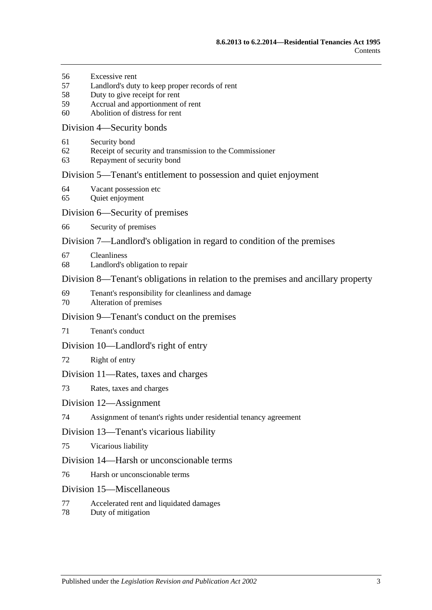- [Excessive rent](#page-22-0)
- [Landlord's duty to keep proper records of rent](#page-23-0)
- [Duty to give receipt for rent](#page-23-1)
- [Accrual and apportionment of rent](#page-23-2)
- [Abolition of distress for rent](#page-24-0)

#### [Division 4—Security bonds](#page-24-1)

- [Security bond](#page-24-2)
- [Receipt of security and transmission to the Commissioner](#page-24-3)
- [Repayment of security bond](#page-25-0)

#### [Division 5—Tenant's entitlement to possession and quiet enjoyment](#page-27-0)

- [Vacant possession etc](#page-27-1)
- [Quiet enjoyment](#page-27-2)

#### [Division 6—Security of premises](#page-28-0)

[Security of premises](#page-28-1)

### [Division 7—Landlord's obligation in regard to condition of the premises](#page-28-2)

- [Cleanliness](#page-28-3)
- [Landlord's obligation to repair](#page-28-4)

### [Division 8—Tenant's obligations in relation to the premises and ancillary property](#page-29-0)

- [Tenant's responsibility for cleanliness and damage](#page-29-1)
- [Alteration of premises](#page-30-0)

#### [Division 9—Tenant's conduct on the premises](#page-30-1)

[Tenant's conduct](#page-30-2)

#### [Division 10—Landlord's right of entry](#page-30-3)

[Right of entry](#page-30-4)

#### [Division 11—Rates, taxes and charges](#page-31-0)

[Rates, taxes and charges](#page-31-1)

#### [Division 12—Assignment](#page-32-0)

[Assignment of tenant's rights under residential tenancy agreement](#page-32-1)

#### [Division 13—Tenant's vicarious liability](#page-33-0)

[Vicarious liability](#page-33-1)

#### [Division 14—Harsh or unconscionable terms](#page-33-2)

[Harsh or unconscionable terms](#page-33-3)

#### [Division 15—Miscellaneous](#page-33-4)

- [Accelerated rent and liquidated damages](#page-33-5)
- [Duty of mitigation](#page-34-0)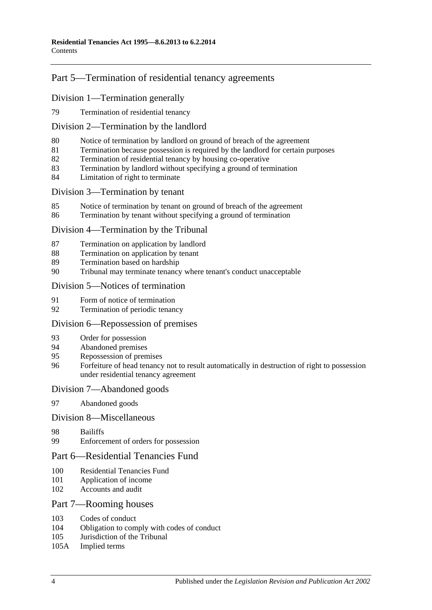## [Part 5—Termination of residential tenancy agreements](#page-34-1)

## [Division 1—Termination generally](#page-34-2)

[Termination of residential tenancy](#page-34-3)

#### [Division 2—Termination by the landlord](#page-34-4)

- [Notice of termination by landlord on ground of breach of the agreement](#page-34-5)
- [Termination because possession is required by the landlord for certain purposes](#page-35-0)
- [Termination of residential tenancy by housing co-operative](#page-36-0)
- [Termination by landlord without specifying a ground of termination](#page-36-1)
- [Limitation of right to terminate](#page-37-0)

#### [Division 3—Termination by tenant](#page-37-1)

- [Notice of termination by tenant on ground of breach of the agreement](#page-37-2)
- [Termination by tenant without specifying a ground of termination](#page-37-3)

#### [Division 4—Termination by the Tribunal](#page-38-0)

- [Termination on application by landlord](#page-38-1)
- [Termination on application by tenant](#page-38-2)
- [Termination based on hardship](#page-38-3)
- [Tribunal may terminate tenancy where tenant's conduct unacceptable](#page-39-0)

#### [Division 5—Notices of termination](#page-39-1)

- [Form of notice of termination](#page-39-2)
- [Termination of periodic tenancy](#page-40-0)

#### [Division 6—Repossession of premises](#page-40-1)

- [Order for possession](#page-40-2)
- [Abandoned premises](#page-41-0)
- [Repossession of premises](#page-41-1)
- [Forfeiture of head tenancy not to result automatically in destruction of right to possession](#page-42-0)  [under residential tenancy agreement](#page-42-0)

#### [Division 7—Abandoned goods](#page-42-1)

[Abandoned goods](#page-42-2)

#### [Division 8—Miscellaneous](#page-43-0)

- [Bailiffs](#page-43-1)
- [Enforcement of orders for possession](#page-43-2)

## [Part 6—Residential Tenancies Fund](#page-44-0)

- [Residential Tenancies Fund](#page-44-1)
- [Application of income](#page-44-2)
- [Accounts and audit](#page-45-0)

#### [Part 7—Rooming houses](#page-45-1)

- [Codes of conduct](#page-45-2)<br>104 Obligation to com
- [Obligation to comply with codes of conduct](#page-45-3)
- [Jurisdiction of the Tribunal](#page-45-4)
- 105A [Implied terms](#page-45-5)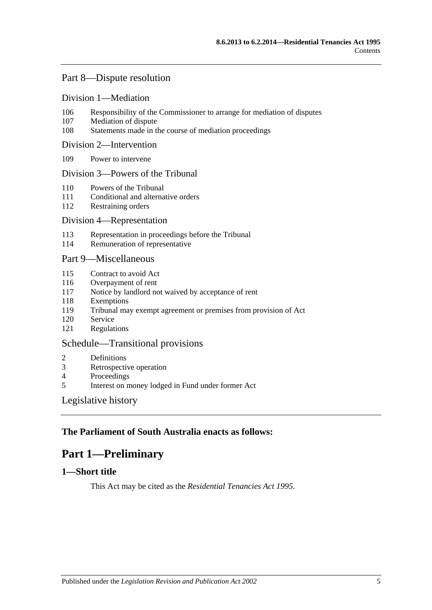## [Part 8—Dispute resolution](#page-45-6)

#### [Division 1—Mediation](#page-45-7)

- 106 [Responsibility of the Commissioner to arrange for mediation of disputes](#page-45-8)
- 107 [Mediation of dispute](#page-45-9)
- 108 [Statements made in the course of mediation proceedings](#page-46-0)

#### [Division 2—Intervention](#page-46-1)

109 [Power to intervene](#page-46-2)

#### [Division 3—Powers of the Tribunal](#page-46-3)

- 110 [Powers of the Tribunal](#page-46-4)
- 111 [Conditional and alternative orders](#page-47-0)
- 112 [Restraining orders](#page-47-1)

#### [Division 4—Representation](#page-47-2)

- 113 [Representation in proceedings before the Tribunal](#page-47-3)
- 114 [Remuneration of representative](#page-48-0)

### [Part 9—Miscellaneous](#page-48-1)

- 115 [Contract to avoid Act](#page-48-2)
- 116 [Overpayment of rent](#page-48-3)
- 117 [Notice by landlord not waived by acceptance of rent](#page-49-0)
- 118 [Exemptions](#page-49-1)
- 119 [Tribunal may exempt agreement or premises from provision of Act](#page-49-2)
- 120 [Service](#page-49-3)
- 121 [Regulations](#page-49-4)

### [Schedule—Transitional provisions](#page-50-0)

- 2 [Definitions](#page-50-1)
- 3 [Retrospective operation](#page-50-2)
- 4 [Proceedings](#page-50-3)<br>5 Interest on m
- 5 [Interest on money lodged in Fund under former Act](#page-50-4)

#### [Legislative history](#page-51-0)

## <span id="page-4-0"></span>**The Parliament of South Australia enacts as follows:**

## **Part 1—Preliminary**

## <span id="page-4-1"></span>**1—Short title**

This Act may be cited as the *Residential Tenancies Act 1995*.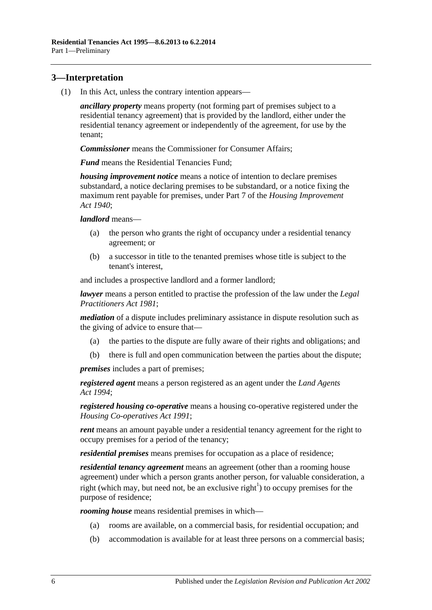## <span id="page-5-0"></span>**3—Interpretation**

(1) In this Act, unless the contrary intention appears—

*ancillary property* means property (not forming part of premises subject to a residential tenancy agreement) that is provided by the landlord, either under the residential tenancy agreement or independently of the agreement, for use by the tenant;

*Commissioner* means the Commissioner for Consumer Affairs;

*Fund* means the Residential Tenancies Fund;

*housing improvement notice* means a notice of intention to declare premises substandard, a notice declaring premises to be substandard, or a notice fixing the maximum rent payable for premises, under Part 7 of the *[Housing Improvement](http://www.legislation.sa.gov.au/index.aspx?action=legref&type=act&legtitle=Housing%20Improvement%20Act%201940)  Act [1940](http://www.legislation.sa.gov.au/index.aspx?action=legref&type=act&legtitle=Housing%20Improvement%20Act%201940)*;

*landlord* means—

- (a) the person who grants the right of occupancy under a residential tenancy agreement; or
- (b) a successor in title to the tenanted premises whose title is subject to the tenant's interest,

and includes a prospective landlord and a former landlord;

*lawyer* means a person entitled to practise the profession of the law under the *[Legal](http://www.legislation.sa.gov.au/index.aspx?action=legref&type=act&legtitle=Legal%20Practitioners%20Act%201981)  [Practitioners Act](http://www.legislation.sa.gov.au/index.aspx?action=legref&type=act&legtitle=Legal%20Practitioners%20Act%201981) 1981*;

*mediation* of a dispute includes preliminary assistance in dispute resolution such as the giving of advice to ensure that—

- (a) the parties to the dispute are fully aware of their rights and obligations; and
- (b) there is full and open communication between the parties about the dispute;

*premises* includes a part of premises;

*registered agent* means a person registered as an agent under the *[Land Agents](http://www.legislation.sa.gov.au/index.aspx?action=legref&type=act&legtitle=Land%20Agents%20Act%201994)  Act [1994](http://www.legislation.sa.gov.au/index.aspx?action=legref&type=act&legtitle=Land%20Agents%20Act%201994)*;

*registered housing co-operative* means a housing co-operative registered under the *[Housing Co-operatives Act](http://www.legislation.sa.gov.au/index.aspx?action=legref&type=act&legtitle=Housing%20Co-operatives%20Act%201991) 1991*;

*rent* means an amount payable under a residential tenancy agreement for the right to occupy premises for a period of the tenancy;

*residential premises* means premises for occupation as a place of residence;

*residential tenancy agreement* means an agreement (other than a rooming house agreement) under which a person grants another person, for valuable consideration, a right (which may, but need not, be an exclusive right<sup>1</sup>) to occupy premises for the purpose of residence;

*rooming house* means residential premises in which—

- (a) rooms are available, on a commercial basis, for residential occupation; and
- (b) accommodation is available for at least three persons on a commercial basis;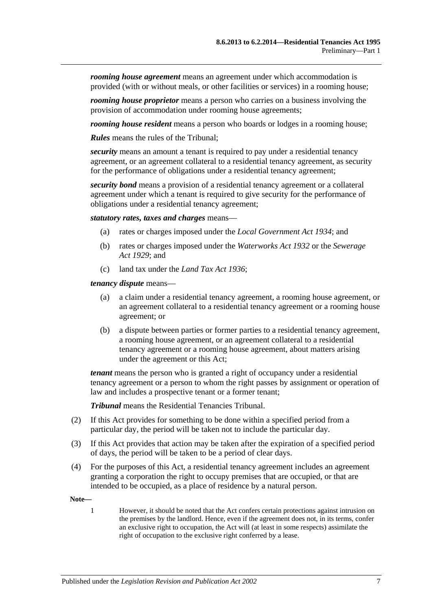*rooming house agreement* means an agreement under which accommodation is provided (with or without meals, or other facilities or services) in a rooming house;

*rooming house proprietor* means a person who carries on a business involving the provision of accommodation under rooming house agreements;

*rooming house resident* means a person who boards or lodges in a rooming house;

*Rules* means the rules of the Tribunal;

*security* means an amount a tenant is required to pay under a residential tenancy agreement, or an agreement collateral to a residential tenancy agreement, as security for the performance of obligations under a residential tenancy agreement;

*security bond* means a provision of a residential tenancy agreement or a collateral agreement under which a tenant is required to give security for the performance of obligations under a residential tenancy agreement;

*statutory rates, taxes and charges* means—

- (a) rates or charges imposed under the *[Local Government Act](http://www.legislation.sa.gov.au/index.aspx?action=legref&type=act&legtitle=Local%20Government%20Act%201934) 1934*; and
- (b) rates or charges imposed under the *[Waterworks Act](http://www.legislation.sa.gov.au/index.aspx?action=legref&type=act&legtitle=Waterworks%20Act%201932) 1932* or the *[Sewerage](http://www.legislation.sa.gov.au/index.aspx?action=legref&type=act&legtitle=Sewerage%20Act%201929)  Act [1929](http://www.legislation.sa.gov.au/index.aspx?action=legref&type=act&legtitle=Sewerage%20Act%201929)*; and
- (c) land tax under the *[Land Tax Act](http://www.legislation.sa.gov.au/index.aspx?action=legref&type=act&legtitle=Land%20Tax%20Act%201936) 1936*;

*tenancy dispute* means—

- (a) a claim under a residential tenancy agreement, a rooming house agreement, or an agreement collateral to a residential tenancy agreement or a rooming house agreement; or
- (b) a dispute between parties or former parties to a residential tenancy agreement, a rooming house agreement, or an agreement collateral to a residential tenancy agreement or a rooming house agreement, about matters arising under the agreement or this Act;

*tenant* means the person who is granted a right of occupancy under a residential tenancy agreement or a person to whom the right passes by assignment or operation of law and includes a prospective tenant or a former tenant;

*Tribunal* means the Residential Tenancies Tribunal.

- (2) If this Act provides for something to be done within a specified period from a particular day, the period will be taken not to include the particular day.
- (3) If this Act provides that action may be taken after the expiration of a specified period of days, the period will be taken to be a period of clear days.
- (4) For the purposes of this Act, a residential tenancy agreement includes an agreement granting a corporation the right to occupy premises that are occupied, or that are intended to be occupied, as a place of residence by a natural person.

**Note—**

1 However, it should be noted that the Act confers certain protections against intrusion on the premises by the landlord. Hence, even if the agreement does not, in its terms, confer an exclusive right to occupation, the Act will (at least in some respects) assimilate the right of occupation to the exclusive right conferred by a lease.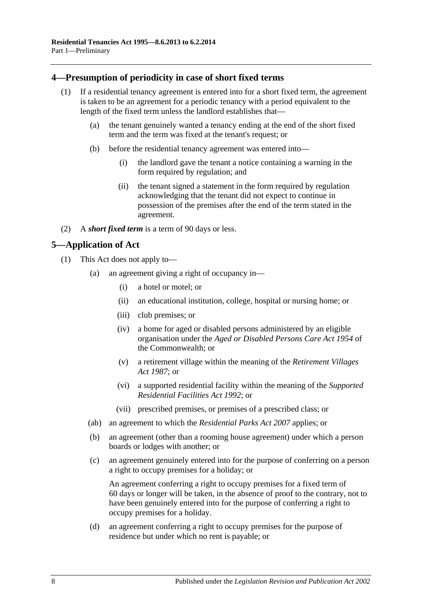## <span id="page-7-0"></span>**4—Presumption of periodicity in case of short fixed terms**

- (1) If a residential tenancy agreement is entered into for a short fixed term, the agreement is taken to be an agreement for a periodic tenancy with a period equivalent to the length of the fixed term unless the landlord establishes that—
	- (a) the tenant genuinely wanted a tenancy ending at the end of the short fixed term and the term was fixed at the tenant's request; or
	- (b) before the residential tenancy agreement was entered into—
		- (i) the landlord gave the tenant a notice containing a warning in the form required by regulation; and
		- (ii) the tenant signed a statement in the form required by regulation acknowledging that the tenant did not expect to continue in possession of the premises after the end of the term stated in the agreement.
- (2) A *short fixed term* is a term of 90 days or less.

## <span id="page-7-1"></span>**5—Application of Act**

- (1) This Act does not apply to—
	- (a) an agreement giving a right of occupancy in—
		- (i) a hotel or motel; or
		- (ii) an educational institution, college, hospital or nursing home; or
		- (iii) club premises; or
		- (iv) a home for aged or disabled persons administered by an eligible organisation under the *Aged or Disabled Persons Care Act 1954* of the Commonwealth; or
		- (v) a retirement village within the meaning of the *[Retirement Villages](http://www.legislation.sa.gov.au/index.aspx?action=legref&type=act&legtitle=Retirement%20Villages%20Act%201987)  Act [1987](http://www.legislation.sa.gov.au/index.aspx?action=legref&type=act&legtitle=Retirement%20Villages%20Act%201987)*; or
		- (vi) a supported residential facility within the meaning of the *[Supported](http://www.legislation.sa.gov.au/index.aspx?action=legref&type=act&legtitle=Supported%20Residential%20Facilities%20Act%201992)  [Residential Facilities Act](http://www.legislation.sa.gov.au/index.aspx?action=legref&type=act&legtitle=Supported%20Residential%20Facilities%20Act%201992) 1992*; or
		- (vii) prescribed premises, or premises of a prescribed class; or
	- (ab) an agreement to which the *[Residential Parks Act](http://www.legislation.sa.gov.au/index.aspx?action=legref&type=act&legtitle=Residential%20Parks%20Act%202007) 2007* applies; or
	- (b) an agreement (other than a rooming house agreement) under which a person boards or lodges with another; or
	- (c) an agreement genuinely entered into for the purpose of conferring on a person a right to occupy premises for a holiday; or

An agreement conferring a right to occupy premises for a fixed term of 60 days or longer will be taken, in the absence of proof to the contrary, not to have been genuinely entered into for the purpose of conferring a right to occupy premises for a holiday.

(d) an agreement conferring a right to occupy premises for the purpose of residence but under which no rent is payable; or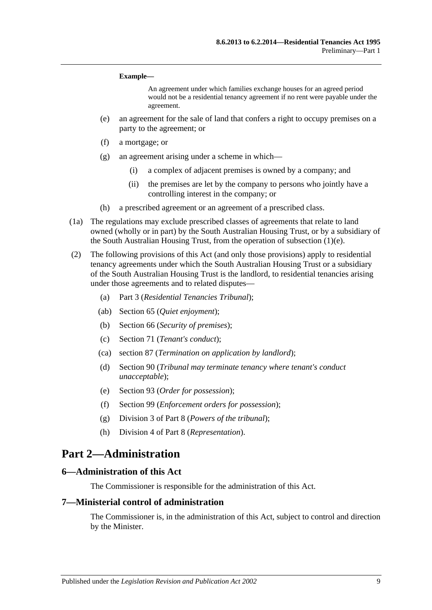#### **Example—**

An agreement under which families exchange houses for an agreed period would not be a residential tenancy agreement if no rent were payable under the agreement.

- <span id="page-8-3"></span>(e) an agreement for the sale of land that confers a right to occupy premises on a party to the agreement; or
- (f) a mortgage; or
- (g) an agreement arising under a scheme in which—
	- (i) a complex of adjacent premises is owned by a company; and
	- (ii) the premises are let by the company to persons who jointly have a controlling interest in the company; or
- (h) a prescribed agreement or an agreement of a prescribed class.
- (1a) The regulations may exclude prescribed classes of agreements that relate to land owned (wholly or in part) by the South Australian Housing Trust, or by a subsidiary of the South Australian Housing Trust, from the operation of [subsection](#page-8-3) (1)(e).
- (2) The following provisions of this Act (and only those provisions) apply to residential tenancy agreements under which the South Australian Housing Trust or a subsidiary of the South Australian Housing Trust is the landlord, to residential tenancies arising under those agreements and to related disputes—
	- (a) [Part 3](#page-9-2) (*Residential Tenancies Tribunal*);
	- (ab) [Section](#page-27-2) 65 (*Quiet enjoyment*);
	- (b) [Section](#page-28-1) 66 (*Security of premises*);
	- (c) [Section](#page-30-2) 71 (*Tenant's conduct*);
	- (ca) [section](#page-38-1) 87 (*Termination on application by landlord*);
	- (d) [Section](#page-39-0) 90 (*Tribunal may terminate tenancy where tenant's conduct unacceptable*);
	- (e) [Section](#page-40-2) 93 (*Order for possession*);
	- (f) [Section](#page-43-2) 99 (*Enforcement orders for possession*);
	- (g) [Division 3](#page-46-3) of [Part 8](#page-45-6) (*Powers of the tribunal*);
	- (h) [Division 4](#page-47-2) of [Part 8](#page-45-6) (*Representation*).

## <span id="page-8-0"></span>**Part 2—Administration**

#### <span id="page-8-1"></span>**6—Administration of this Act**

The Commissioner is responsible for the administration of this Act.

### <span id="page-8-2"></span>**7—Ministerial control of administration**

The Commissioner is, in the administration of this Act, subject to control and direction by the Minister.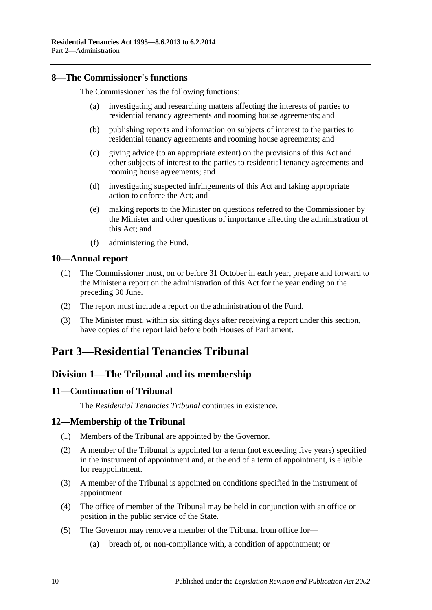### <span id="page-9-0"></span>**8—The Commissioner's functions**

The Commissioner has the following functions:

- (a) investigating and researching matters affecting the interests of parties to residential tenancy agreements and rooming house agreements; and
- (b) publishing reports and information on subjects of interest to the parties to residential tenancy agreements and rooming house agreements; and
- (c) giving advice (to an appropriate extent) on the provisions of this Act and other subjects of interest to the parties to residential tenancy agreements and rooming house agreements; and
- (d) investigating suspected infringements of this Act and taking appropriate action to enforce the Act; and
- (e) making reports to the Minister on questions referred to the Commissioner by the Minister and other questions of importance affecting the administration of this Act; and
- (f) administering the Fund.

### <span id="page-9-1"></span>**10—Annual report**

- (1) The Commissioner must, on or before 31 October in each year, prepare and forward to the Minister a report on the administration of this Act for the year ending on the preceding 30 June.
- (2) The report must include a report on the administration of the Fund.
- (3) The Minister must, within six sitting days after receiving a report under this section, have copies of the report laid before both Houses of Parliament.

## <span id="page-9-2"></span>**Part 3—Residential Tenancies Tribunal**

## <span id="page-9-3"></span>**Division 1—The Tribunal and its membership**

#### <span id="page-9-4"></span>**11—Continuation of Tribunal**

The *Residential Tenancies Tribunal* continues in existence.

## <span id="page-9-5"></span>**12—Membership of the Tribunal**

- (1) Members of the Tribunal are appointed by the Governor.
- (2) A member of the Tribunal is appointed for a term (not exceeding five years) specified in the instrument of appointment and, at the end of a term of appointment, is eligible for reappointment.
- (3) A member of the Tribunal is appointed on conditions specified in the instrument of appointment.
- (4) The office of member of the Tribunal may be held in conjunction with an office or position in the public service of the State.
- <span id="page-9-6"></span>(5) The Governor may remove a member of the Tribunal from office for—
	- (a) breach of, or non-compliance with, a condition of appointment; or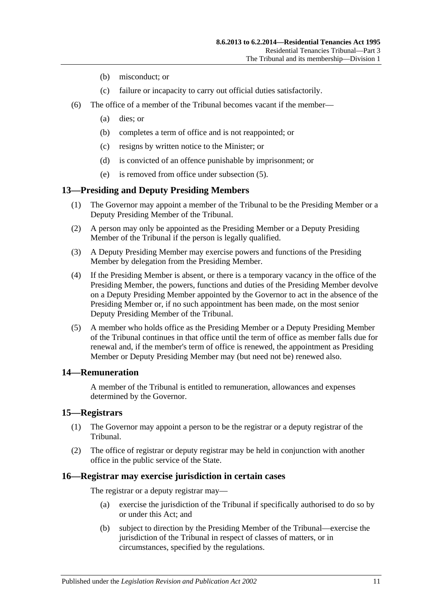- (b) misconduct; or
- (c) failure or incapacity to carry out official duties satisfactorily.
- (6) The office of a member of the Tribunal becomes vacant if the member—
	- (a) dies; or
	- (b) completes a term of office and is not reappointed; or
	- (c) resigns by written notice to the Minister; or
	- (d) is convicted of an offence punishable by imprisonment; or
	- (e) is removed from office under [subsection](#page-9-6) (5).

## <span id="page-10-0"></span>**13—Presiding and Deputy Presiding Members**

- (1) The Governor may appoint a member of the Tribunal to be the Presiding Member or a Deputy Presiding Member of the Tribunal.
- (2) A person may only be appointed as the Presiding Member or a Deputy Presiding Member of the Tribunal if the person is legally qualified.
- (3) A Deputy Presiding Member may exercise powers and functions of the Presiding Member by delegation from the Presiding Member.
- (4) If the Presiding Member is absent, or there is a temporary vacancy in the office of the Presiding Member, the powers, functions and duties of the Presiding Member devolve on a Deputy Presiding Member appointed by the Governor to act in the absence of the Presiding Member or, if no such appointment has been made, on the most senior Deputy Presiding Member of the Tribunal.
- (5) A member who holds office as the Presiding Member or a Deputy Presiding Member of the Tribunal continues in that office until the term of office as member falls due for renewal and, if the member's term of office is renewed, the appointment as Presiding Member or Deputy Presiding Member may (but need not be) renewed also.

## <span id="page-10-1"></span>**14—Remuneration**

A member of the Tribunal is entitled to remuneration, allowances and expenses determined by the Governor.

#### <span id="page-10-2"></span>**15—Registrars**

- (1) The Governor may appoint a person to be the registrar or a deputy registrar of the Tribunal.
- (2) The office of registrar or deputy registrar may be held in conjunction with another office in the public service of the State.

## <span id="page-10-3"></span>**16—Registrar may exercise jurisdiction in certain cases**

The registrar or a deputy registrar may—

- (a) exercise the jurisdiction of the Tribunal if specifically authorised to do so by or under this Act; and
- (b) subject to direction by the Presiding Member of the Tribunal—exercise the jurisdiction of the Tribunal in respect of classes of matters, or in circumstances, specified by the regulations.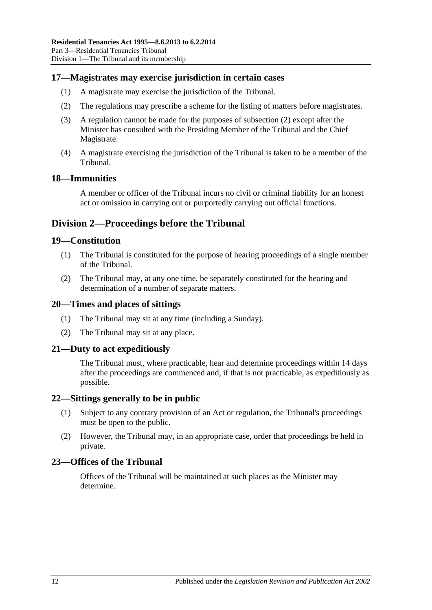## <span id="page-11-0"></span>**17—Magistrates may exercise jurisdiction in certain cases**

- (1) A magistrate may exercise the jurisdiction of the Tribunal.
- <span id="page-11-8"></span>(2) The regulations may prescribe a scheme for the listing of matters before magistrates.
- (3) A regulation cannot be made for the purposes of [subsection](#page-11-8) (2) except after the Minister has consulted with the Presiding Member of the Tribunal and the Chief Magistrate.
- (4) A magistrate exercising the jurisdiction of the Tribunal is taken to be a member of the Tribunal.

#### <span id="page-11-1"></span>**18—Immunities**

A member or officer of the Tribunal incurs no civil or criminal liability for an honest act or omission in carrying out or purportedly carrying out official functions.

## <span id="page-11-2"></span>**Division 2—Proceedings before the Tribunal**

#### <span id="page-11-3"></span>**19—Constitution**

- (1) The Tribunal is constituted for the purpose of hearing proceedings of a single member of the Tribunal.
- (2) The Tribunal may, at any one time, be separately constituted for the hearing and determination of a number of separate matters.

#### <span id="page-11-4"></span>**20—Times and places of sittings**

- (1) The Tribunal may sit at any time (including a Sunday).
- (2) The Tribunal may sit at any place.

#### <span id="page-11-5"></span>**21—Duty to act expeditiously**

The Tribunal must, where practicable, hear and determine proceedings within 14 days after the proceedings are commenced and, if that is not practicable, as expeditiously as possible.

#### <span id="page-11-6"></span>**22—Sittings generally to be in public**

- (1) Subject to any contrary provision of an Act or regulation, the Tribunal's proceedings must be open to the public.
- (2) However, the Tribunal may, in an appropriate case, order that proceedings be held in private.

#### <span id="page-11-7"></span>**23—Offices of the Tribunal**

Offices of the Tribunal will be maintained at such places as the Minister may determine.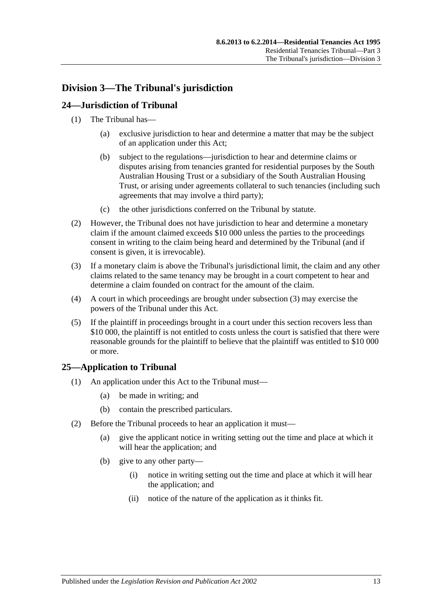## <span id="page-12-0"></span>**Division 3—The Tribunal's jurisdiction**

## <span id="page-12-1"></span>**24—Jurisdiction of Tribunal**

- (1) The Tribunal has—
	- (a) exclusive jurisdiction to hear and determine a matter that may be the subject of an application under this Act;
	- (b) subject to the regulations—jurisdiction to hear and determine claims or disputes arising from tenancies granted for residential purposes by the South Australian Housing Trust or a subsidiary of the South Australian Housing Trust, or arising under agreements collateral to such tenancies (including such agreements that may involve a third party);
	- (c) the other jurisdictions conferred on the Tribunal by statute.
- (2) However, the Tribunal does not have jurisdiction to hear and determine a monetary claim if the amount claimed exceeds \$10 000 unless the parties to the proceedings consent in writing to the claim being heard and determined by the Tribunal (and if consent is given, it is irrevocable).
- <span id="page-12-3"></span>(3) If a monetary claim is above the Tribunal's jurisdictional limit, the claim and any other claims related to the same tenancy may be brought in a court competent to hear and determine a claim founded on contract for the amount of the claim.
- (4) A court in which proceedings are brought under [subsection](#page-12-3) (3) may exercise the powers of the Tribunal under this Act.
- (5) If the plaintiff in proceedings brought in a court under this section recovers less than \$10 000, the plaintiff is not entitled to costs unless the court is satisfied that there were reasonable grounds for the plaintiff to believe that the plaintiff was entitled to \$10 000 or more.

## <span id="page-12-2"></span>**25—Application to Tribunal**

- (1) An application under this Act to the Tribunal must—
	- (a) be made in writing; and
	- (b) contain the prescribed particulars.
- (2) Before the Tribunal proceeds to hear an application it must—
	- (a) give the applicant notice in writing setting out the time and place at which it will hear the application; and
	- (b) give to any other party—
		- (i) notice in writing setting out the time and place at which it will hear the application; and
		- (ii) notice of the nature of the application as it thinks fit.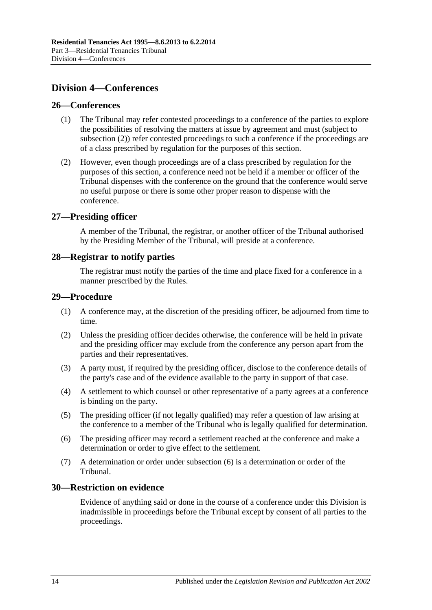## <span id="page-13-0"></span>**Division 4—Conferences**

### <span id="page-13-1"></span>**26—Conferences**

- (1) The Tribunal may refer contested proceedings to a conference of the parties to explore the possibilities of resolving the matters at issue by agreement and must (subject to [subsection](#page-13-6) (2)) refer contested proceedings to such a conference if the proceedings are of a class prescribed by regulation for the purposes of this section.
- <span id="page-13-6"></span>(2) However, even though proceedings are of a class prescribed by regulation for the purposes of this section, a conference need not be held if a member or officer of the Tribunal dispenses with the conference on the ground that the conference would serve no useful purpose or there is some other proper reason to dispense with the conference.

### <span id="page-13-2"></span>**27—Presiding officer**

A member of the Tribunal, the registrar, or another officer of the Tribunal authorised by the Presiding Member of the Tribunal, will preside at a conference.

### <span id="page-13-3"></span>**28—Registrar to notify parties**

The registrar must notify the parties of the time and place fixed for a conference in a manner prescribed by the Rules.

### <span id="page-13-4"></span>**29—Procedure**

- (1) A conference may, at the discretion of the presiding officer, be adjourned from time to time.
- (2) Unless the presiding officer decides otherwise, the conference will be held in private and the presiding officer may exclude from the conference any person apart from the parties and their representatives.
- (3) A party must, if required by the presiding officer, disclose to the conference details of the party's case and of the evidence available to the party in support of that case.
- (4) A settlement to which counsel or other representative of a party agrees at a conference is binding on the party.
- (5) The presiding officer (if not legally qualified) may refer a question of law arising at the conference to a member of the Tribunal who is legally qualified for determination.
- <span id="page-13-7"></span>(6) The presiding officer may record a settlement reached at the conference and make a determination or order to give effect to the settlement.
- (7) A determination or order under [subsection](#page-13-7) (6) is a determination or order of the Tribunal.

## <span id="page-13-5"></span>**30—Restriction on evidence**

Evidence of anything said or done in the course of a conference under this Division is inadmissible in proceedings before the Tribunal except by consent of all parties to the proceedings.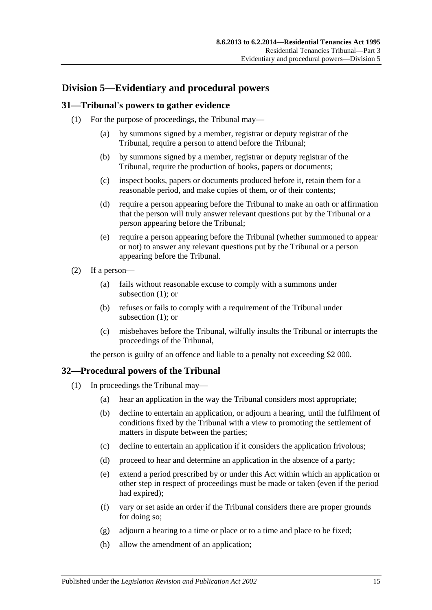## <span id="page-14-0"></span>**Division 5—Evidentiary and procedural powers**

## <span id="page-14-3"></span><span id="page-14-1"></span>**31—Tribunal's powers to gather evidence**

- (1) For the purpose of proceedings, the Tribunal may—
	- (a) by summons signed by a member, registrar or deputy registrar of the Tribunal, require a person to attend before the Tribunal;
	- (b) by summons signed by a member, registrar or deputy registrar of the Tribunal, require the production of books, papers or documents;
	- (c) inspect books, papers or documents produced before it, retain them for a reasonable period, and make copies of them, or of their contents;
	- (d) require a person appearing before the Tribunal to make an oath or affirmation that the person will truly answer relevant questions put by the Tribunal or a person appearing before the Tribunal;
	- (e) require a person appearing before the Tribunal (whether summoned to appear or not) to answer any relevant questions put by the Tribunal or a person appearing before the Tribunal.
- (2) If a person—
	- (a) fails without reasonable excuse to comply with a summons under [subsection](#page-14-3) (1); or
	- (b) refuses or fails to comply with a requirement of the Tribunal under [subsection](#page-14-3) (1); or
	- (c) misbehaves before the Tribunal, wilfully insults the Tribunal or interrupts the proceedings of the Tribunal,

the person is guilty of an offence and liable to a penalty not exceeding \$2 000.

## <span id="page-14-2"></span>**32—Procedural powers of the Tribunal**

- (1) In proceedings the Tribunal may—
	- (a) hear an application in the way the Tribunal considers most appropriate;
	- (b) decline to entertain an application, or adjourn a hearing, until the fulfilment of conditions fixed by the Tribunal with a view to promoting the settlement of matters in dispute between the parties;
	- (c) decline to entertain an application if it considers the application frivolous;
	- (d) proceed to hear and determine an application in the absence of a party;
	- (e) extend a period prescribed by or under this Act within which an application or other step in respect of proceedings must be made or taken (even if the period had expired);
	- (f) vary or set aside an order if the Tribunal considers there are proper grounds for doing so;
	- (g) adjourn a hearing to a time or place or to a time and place to be fixed;
	- (h) allow the amendment of an application;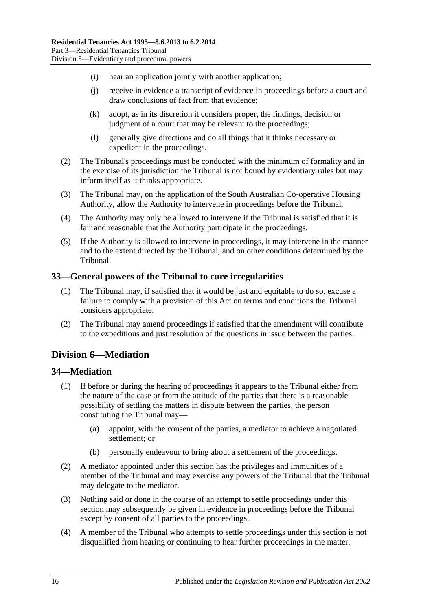- (i) hear an application jointly with another application;
- (j) receive in evidence a transcript of evidence in proceedings before a court and draw conclusions of fact from that evidence;
- (k) adopt, as in its discretion it considers proper, the findings, decision or judgment of a court that may be relevant to the proceedings;
- (l) generally give directions and do all things that it thinks necessary or expedient in the proceedings.
- (2) The Tribunal's proceedings must be conducted with the minimum of formality and in the exercise of its jurisdiction the Tribunal is not bound by evidentiary rules but may inform itself as it thinks appropriate.
- (3) The Tribunal may, on the application of the South Australian Co-operative Housing Authority, allow the Authority to intervene in proceedings before the Tribunal.
- (4) The Authority may only be allowed to intervene if the Tribunal is satisfied that it is fair and reasonable that the Authority participate in the proceedings.
- (5) If the Authority is allowed to intervene in proceedings, it may intervene in the manner and to the extent directed by the Tribunal, and on other conditions determined by the Tribunal.

## <span id="page-15-0"></span>**33—General powers of the Tribunal to cure irregularities**

- (1) The Tribunal may, if satisfied that it would be just and equitable to do so, excuse a failure to comply with a provision of this Act on terms and conditions the Tribunal considers appropriate.
- (2) The Tribunal may amend proceedings if satisfied that the amendment will contribute to the expeditious and just resolution of the questions in issue between the parties.

## <span id="page-15-1"></span>**Division 6—Mediation**

## <span id="page-15-2"></span>**34—Mediation**

- (1) If before or during the hearing of proceedings it appears to the Tribunal either from the nature of the case or from the attitude of the parties that there is a reasonable possibility of settling the matters in dispute between the parties, the person constituting the Tribunal may—
	- (a) appoint, with the consent of the parties, a mediator to achieve a negotiated settlement; or
	- (b) personally endeavour to bring about a settlement of the proceedings.
- (2) A mediator appointed under this section has the privileges and immunities of a member of the Tribunal and may exercise any powers of the Tribunal that the Tribunal may delegate to the mediator.
- (3) Nothing said or done in the course of an attempt to settle proceedings under this section may subsequently be given in evidence in proceedings before the Tribunal except by consent of all parties to the proceedings.
- (4) A member of the Tribunal who attempts to settle proceedings under this section is not disqualified from hearing or continuing to hear further proceedings in the matter.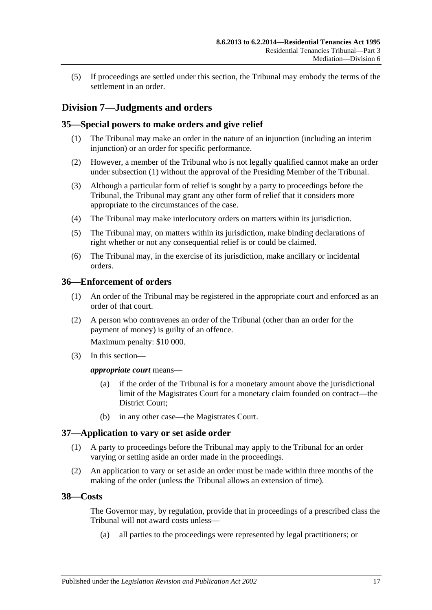(5) If proceedings are settled under this section, the Tribunal may embody the terms of the settlement in an order.

## <span id="page-16-0"></span>**Division 7—Judgments and orders**

## <span id="page-16-5"></span><span id="page-16-1"></span>**35—Special powers to make orders and give relief**

- (1) The Tribunal may make an order in the nature of an injunction (including an interim injunction) or an order for specific performance.
- (2) However, a member of the Tribunal who is not legally qualified cannot make an order under [subsection](#page-16-5) (1) without the approval of the Presiding Member of the Tribunal.
- (3) Although a particular form of relief is sought by a party to proceedings before the Tribunal, the Tribunal may grant any other form of relief that it considers more appropriate to the circumstances of the case.
- (4) The Tribunal may make interlocutory orders on matters within its jurisdiction.
- (5) The Tribunal may, on matters within its jurisdiction, make binding declarations of right whether or not any consequential relief is or could be claimed.
- (6) The Tribunal may, in the exercise of its jurisdiction, make ancillary or incidental orders.

## <span id="page-16-2"></span>**36—Enforcement of orders**

- (1) An order of the Tribunal may be registered in the appropriate court and enforced as an order of that court.
- (2) A person who contravenes an order of the Tribunal (other than an order for the payment of money) is guilty of an offence.

Maximum penalty: \$10 000.

(3) In this section—

#### *appropriate court* means—

- (a) if the order of the Tribunal is for a monetary amount above the jurisdictional limit of the Magistrates Court for a monetary claim founded on contract—the District Court;
- (b) in any other case—the Magistrates Court.

## <span id="page-16-3"></span>**37—Application to vary or set aside order**

- (1) A party to proceedings before the Tribunal may apply to the Tribunal for an order varying or setting aside an order made in the proceedings.
- (2) An application to vary or set aside an order must be made within three months of the making of the order (unless the Tribunal allows an extension of time).

## <span id="page-16-4"></span>**38—Costs**

The Governor may, by regulation, provide that in proceedings of a prescribed class the Tribunal will not award costs unless—

(a) all parties to the proceedings were represented by legal practitioners; or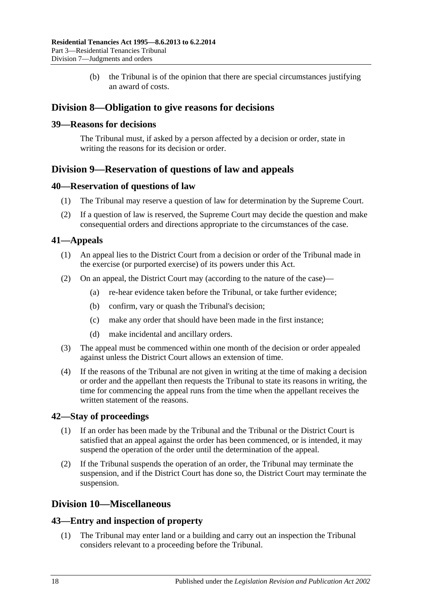(b) the Tribunal is of the opinion that there are special circumstances justifying an award of costs.

## <span id="page-17-0"></span>**Division 8—Obligation to give reasons for decisions**

## <span id="page-17-1"></span>**39—Reasons for decisions**

The Tribunal must, if asked by a person affected by a decision or order, state in writing the reasons for its decision or order.

## <span id="page-17-2"></span>**Division 9—Reservation of questions of law and appeals**

## <span id="page-17-3"></span>**40—Reservation of questions of law**

- (1) The Tribunal may reserve a question of law for determination by the Supreme Court.
- (2) If a question of law is reserved, the Supreme Court may decide the question and make consequential orders and directions appropriate to the circumstances of the case.

## <span id="page-17-4"></span>**41—Appeals**

- (1) An appeal lies to the District Court from a decision or order of the Tribunal made in the exercise (or purported exercise) of its powers under this Act.
- (2) On an appeal, the District Court may (according to the nature of the case)—
	- (a) re-hear evidence taken before the Tribunal, or take further evidence;
	- (b) confirm, vary or quash the Tribunal's decision;
	- (c) make any order that should have been made in the first instance;
	- (d) make incidental and ancillary orders.
- (3) The appeal must be commenced within one month of the decision or order appealed against unless the District Court allows an extension of time.
- (4) If the reasons of the Tribunal are not given in writing at the time of making a decision or order and the appellant then requests the Tribunal to state its reasons in writing, the time for commencing the appeal runs from the time when the appellant receives the written statement of the reasons.

## <span id="page-17-5"></span>**42—Stay of proceedings**

- (1) If an order has been made by the Tribunal and the Tribunal or the District Court is satisfied that an appeal against the order has been commenced, or is intended, it may suspend the operation of the order until the determination of the appeal.
- (2) If the Tribunal suspends the operation of an order, the Tribunal may terminate the suspension, and if the District Court has done so, the District Court may terminate the suspension.

## <span id="page-17-6"></span>**Division 10—Miscellaneous**

#### <span id="page-17-7"></span>**43—Entry and inspection of property**

(1) The Tribunal may enter land or a building and carry out an inspection the Tribunal considers relevant to a proceeding before the Tribunal.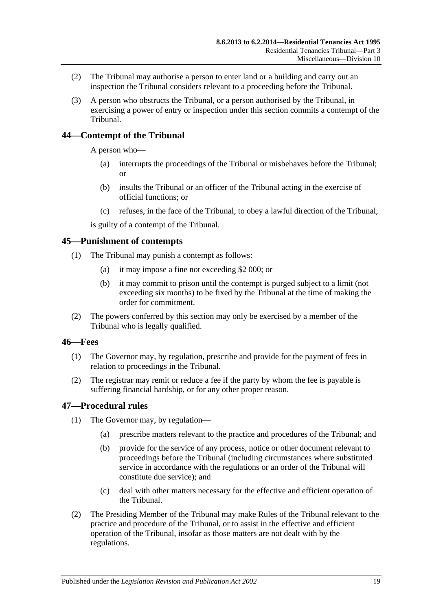- (2) The Tribunal may authorise a person to enter land or a building and carry out an inspection the Tribunal considers relevant to a proceeding before the Tribunal.
- (3) A person who obstructs the Tribunal, or a person authorised by the Tribunal, in exercising a power of entry or inspection under this section commits a contempt of the Tribunal.

## <span id="page-18-0"></span>**44—Contempt of the Tribunal**

A person who—

- (a) interrupts the proceedings of the Tribunal or misbehaves before the Tribunal; or
- (b) insults the Tribunal or an officer of the Tribunal acting in the exercise of official functions; or
- (c) refuses, in the face of the Tribunal, to obey a lawful direction of the Tribunal,

is guilty of a contempt of the Tribunal.

### <span id="page-18-1"></span>**45—Punishment of contempts**

- (1) The Tribunal may punish a contempt as follows:
	- (a) it may impose a fine not exceeding \$2 000; or
	- (b) it may commit to prison until the contempt is purged subject to a limit (not exceeding six months) to be fixed by the Tribunal at the time of making the order for commitment.
- (2) The powers conferred by this section may only be exercised by a member of the Tribunal who is legally qualified.

#### <span id="page-18-2"></span>**46—Fees**

- (1) The Governor may, by regulation, prescribe and provide for the payment of fees in relation to proceedings in the Tribunal.
- (2) The registrar may remit or reduce a fee if the party by whom the fee is payable is suffering financial hardship, or for any other proper reason.

#### <span id="page-18-3"></span>**47—Procedural rules**

- (1) The Governor may, by regulation—
	- (a) prescribe matters relevant to the practice and procedures of the Tribunal; and
	- (b) provide for the service of any process, notice or other document relevant to proceedings before the Tribunal (including circumstances where substituted service in accordance with the regulations or an order of the Tribunal will constitute due service); and
	- (c) deal with other matters necessary for the effective and efficient operation of the Tribunal.
- (2) The Presiding Member of the Tribunal may make Rules of the Tribunal relevant to the practice and procedure of the Tribunal, or to assist in the effective and efficient operation of the Tribunal, insofar as those matters are not dealt with by the regulations.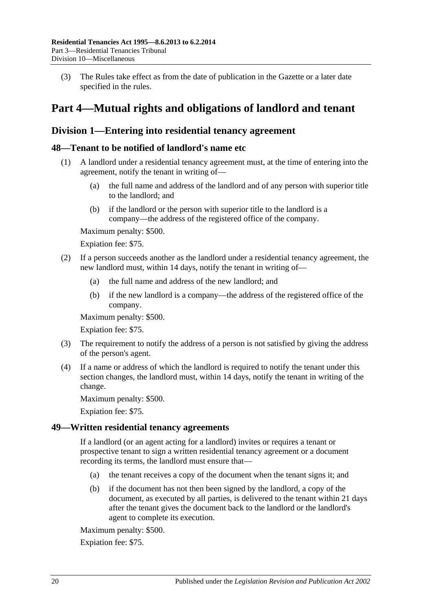(3) The Rules take effect as from the date of publication in the Gazette or a later date specified in the rules.

## <span id="page-19-0"></span>**Part 4—Mutual rights and obligations of landlord and tenant**

## <span id="page-19-1"></span>**Division 1—Entering into residential tenancy agreement**

## <span id="page-19-2"></span>**48—Tenant to be notified of landlord's name etc**

- (1) A landlord under a residential tenancy agreement must, at the time of entering into the agreement, notify the tenant in writing of—
	- (a) the full name and address of the landlord and of any person with superior title to the landlord; and
	- (b) if the landlord or the person with superior title to the landlord is a company—the address of the registered office of the company.

Maximum penalty: \$500.

Expiation fee: \$75.

- (2) If a person succeeds another as the landlord under a residential tenancy agreement, the new landlord must, within 14 days, notify the tenant in writing of—
	- (a) the full name and address of the new landlord; and
	- (b) if the new landlord is a company—the address of the registered office of the company.

Maximum penalty: \$500.

Expiation fee: \$75.

- (3) The requirement to notify the address of a person is not satisfied by giving the address of the person's agent.
- (4) If a name or address of which the landlord is required to notify the tenant under this section changes, the landlord must, within 14 days, notify the tenant in writing of the change.

Maximum penalty: \$500.

Expiation fee: \$75.

#### <span id="page-19-3"></span>**49—Written residential tenancy agreements**

If a landlord (or an agent acting for a landlord) invites or requires a tenant or prospective tenant to sign a written residential tenancy agreement or a document recording its terms, the landlord must ensure that—

- (a) the tenant receives a copy of the document when the tenant signs it; and
- (b) if the document has not then been signed by the landlord, a copy of the document, as executed by all parties, is delivered to the tenant within 21 days after the tenant gives the document back to the landlord or the landlord's agent to complete its execution.

Maximum penalty: \$500.

Expiation fee: \$75.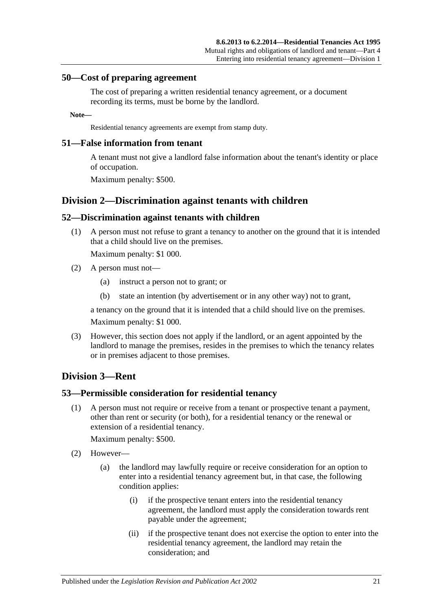#### <span id="page-20-0"></span>**50—Cost of preparing agreement**

The cost of preparing a written residential tenancy agreement, or a document recording its terms, must be borne by the landlord.

#### **Note—**

Residential tenancy agreements are exempt from stamp duty.

#### <span id="page-20-1"></span>**51—False information from tenant**

A tenant must not give a landlord false information about the tenant's identity or place of occupation.

Maximum penalty: \$500.

## <span id="page-20-2"></span>**Division 2—Discrimination against tenants with children**

#### <span id="page-20-3"></span>**52—Discrimination against tenants with children**

(1) A person must not refuse to grant a tenancy to another on the ground that it is intended that a child should live on the premises.

Maximum penalty: \$1 000.

- (2) A person must not—
	- (a) instruct a person not to grant; or
	- (b) state an intention (by advertisement or in any other way) not to grant,

a tenancy on the ground that it is intended that a child should live on the premises.

Maximum penalty: \$1 000.

(3) However, this section does not apply if the landlord, or an agent appointed by the landlord to manage the premises, resides in the premises to which the tenancy relates or in premises adjacent to those premises.

## <span id="page-20-4"></span>**Division 3—Rent**

#### <span id="page-20-5"></span>**53—Permissible consideration for residential tenancy**

(1) A person must not require or receive from a tenant or prospective tenant a payment, other than rent or security (or both), for a residential tenancy or the renewal or extension of a residential tenancy.

Maximum penalty: \$500.

- (2) However—
	- (a) the landlord may lawfully require or receive consideration for an option to enter into a residential tenancy agreement but, in that case, the following condition applies:
		- (i) if the prospective tenant enters into the residential tenancy agreement, the landlord must apply the consideration towards rent payable under the agreement;
		- (ii) if the prospective tenant does not exercise the option to enter into the residential tenancy agreement, the landlord may retain the consideration; and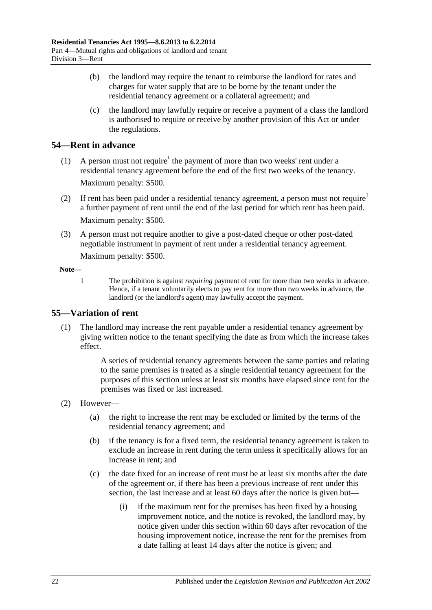- (b) the landlord may require the tenant to reimburse the landlord for rates and charges for water supply that are to be borne by the tenant under the residential tenancy agreement or a collateral agreement; and
- (c) the landlord may lawfully require or receive a payment of a class the landlord is authorised to require or receive by another provision of this Act or under the regulations.

## <span id="page-21-0"></span>**54—Rent in advance**

- (1) A person must not require<sup>1</sup> the payment of more than two weeks' rent under a residential tenancy agreement before the end of the first two weeks of the tenancy. Maximum penalty: \$500.
- (2) If rent has been paid under a residential tenancy agreement, a person must not require<sup>1</sup> a further payment of rent until the end of the last period for which rent has been paid. Maximum penalty: \$500.
- (3) A person must not require another to give a post-dated cheque or other post-dated negotiable instrument in payment of rent under a residential tenancy agreement. Maximum penalty: \$500.

### **Note—**

1 The prohibition is against *requiring* payment of rent for more than two weeks in advance. Hence, if a tenant voluntarily elects to pay rent for more than two weeks in advance, the landlord (or the landlord's agent) may lawfully accept the payment.

## <span id="page-21-1"></span>**55—Variation of rent**

(1) The landlord may increase the rent payable under a residential tenancy agreement by giving written notice to the tenant specifying the date as from which the increase takes effect.

> A series of residential tenancy agreements between the same parties and relating to the same premises is treated as a single residential tenancy agreement for the purposes of this section unless at least six months have elapsed since rent for the premises was fixed or last increased.

- (2) However—
	- (a) the right to increase the rent may be excluded or limited by the terms of the residential tenancy agreement; and
	- (b) if the tenancy is for a fixed term, the residential tenancy agreement is taken to exclude an increase in rent during the term unless it specifically allows for an increase in rent; and
	- (c) the date fixed for an increase of rent must be at least six months after the date of the agreement or, if there has been a previous increase of rent under this section, the last increase and at least 60 days after the notice is given but—
		- (i) if the maximum rent for the premises has been fixed by a housing improvement notice, and the notice is revoked, the landlord may, by notice given under this section within 60 days after revocation of the housing improvement notice, increase the rent for the premises from a date falling at least 14 days after the notice is given; and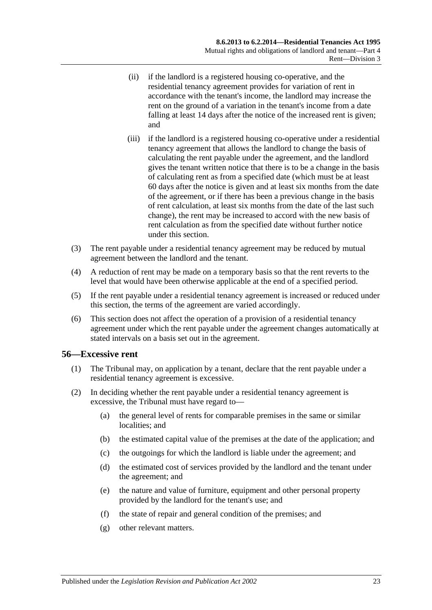- (ii) if the landlord is a registered housing co-operative, and the residential tenancy agreement provides for variation of rent in accordance with the tenant's income, the landlord may increase the rent on the ground of a variation in the tenant's income from a date falling at least 14 days after the notice of the increased rent is given; and
- (iii) if the landlord is a registered housing co-operative under a residential tenancy agreement that allows the landlord to change the basis of calculating the rent payable under the agreement, and the landlord gives the tenant written notice that there is to be a change in the basis of calculating rent as from a specified date (which must be at least 60 days after the notice is given and at least six months from the date of the agreement, or if there has been a previous change in the basis of rent calculation, at least six months from the date of the last such change), the rent may be increased to accord with the new basis of rent calculation as from the specified date without further notice under this section.
- (3) The rent payable under a residential tenancy agreement may be reduced by mutual agreement between the landlord and the tenant.
- (4) A reduction of rent may be made on a temporary basis so that the rent reverts to the level that would have been otherwise applicable at the end of a specified period.
- (5) If the rent payable under a residential tenancy agreement is increased or reduced under this section, the terms of the agreement are varied accordingly.
- (6) This section does not affect the operation of a provision of a residential tenancy agreement under which the rent payable under the agreement changes automatically at stated intervals on a basis set out in the agreement.

#### <span id="page-22-0"></span>**56—Excessive rent**

- (1) The Tribunal may, on application by a tenant, declare that the rent payable under a residential tenancy agreement is excessive.
- (2) In deciding whether the rent payable under a residential tenancy agreement is excessive, the Tribunal must have regard to—
	- (a) the general level of rents for comparable premises in the same or similar localities; and
	- (b) the estimated capital value of the premises at the date of the application; and
	- (c) the outgoings for which the landlord is liable under the agreement; and
	- (d) the estimated cost of services provided by the landlord and the tenant under the agreement; and
	- (e) the nature and value of furniture, equipment and other personal property provided by the landlord for the tenant's use; and
	- (f) the state of repair and general condition of the premises; and
	- (g) other relevant matters.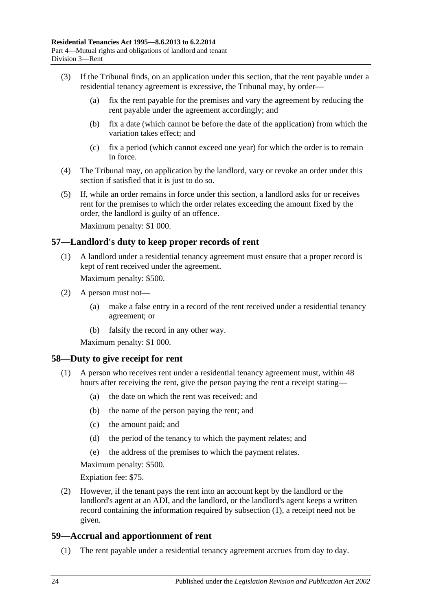- (3) If the Tribunal finds, on an application under this section, that the rent payable under a residential tenancy agreement is excessive, the Tribunal may, by order—
	- (a) fix the rent payable for the premises and vary the agreement by reducing the rent payable under the agreement accordingly; and
	- (b) fix a date (which cannot be before the date of the application) from which the variation takes effect; and
	- (c) fix a period (which cannot exceed one year) for which the order is to remain in force.
- (4) The Tribunal may, on application by the landlord, vary or revoke an order under this section if satisfied that it is just to do so.
- (5) If, while an order remains in force under this section, a landlord asks for or receives rent for the premises to which the order relates exceeding the amount fixed by the order, the landlord is guilty of an offence.

Maximum penalty: \$1 000.

### <span id="page-23-0"></span>**57—Landlord's duty to keep proper records of rent**

(1) A landlord under a residential tenancy agreement must ensure that a proper record is kept of rent received under the agreement.

Maximum penalty: \$500.

- (2) A person must not—
	- (a) make a false entry in a record of the rent received under a residential tenancy agreement; or
	- (b) falsify the record in any other way.

Maximum penalty: \$1 000.

#### <span id="page-23-3"></span><span id="page-23-1"></span>**58—Duty to give receipt for rent**

- (1) A person who receives rent under a residential tenancy agreement must, within 48 hours after receiving the rent, give the person paying the rent a receipt stating—
	- (a) the date on which the rent was received; and
	- (b) the name of the person paying the rent; and
	- (c) the amount paid; and
	- (d) the period of the tenancy to which the payment relates; and
	- (e) the address of the premises to which the payment relates.

Maximum penalty: \$500.

Expiation fee: \$75.

(2) However, if the tenant pays the rent into an account kept by the landlord or the landlord's agent at an ADI, and the landlord, or the landlord's agent keeps a written record containing the information required by [subsection](#page-23-3) (1), a receipt need not be given.

## <span id="page-23-2"></span>**59—Accrual and apportionment of rent**

(1) The rent payable under a residential tenancy agreement accrues from day to day.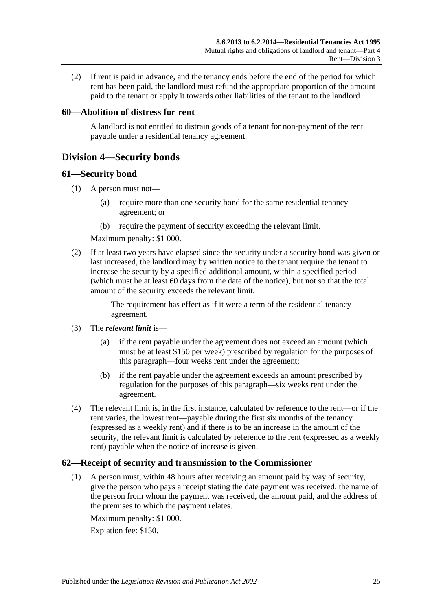(2) If rent is paid in advance, and the tenancy ends before the end of the period for which rent has been paid, the landlord must refund the appropriate proportion of the amount paid to the tenant or apply it towards other liabilities of the tenant to the landlord.

## <span id="page-24-0"></span>**60—Abolition of distress for rent**

A landlord is not entitled to distrain goods of a tenant for non-payment of the rent payable under a residential tenancy agreement.

## <span id="page-24-1"></span>**Division 4—Security bonds**

#### <span id="page-24-2"></span>**61—Security bond**

- (1) A person must not—
	- (a) require more than one security bond for the same residential tenancy agreement; or
	- (b) require the payment of security exceeding the relevant limit.

Maximum penalty: \$1 000.

(2) If at least two years have elapsed since the security under a security bond was given or last increased, the landlord may by written notice to the tenant require the tenant to increase the security by a specified additional amount, within a specified period (which must be at least 60 days from the date of the notice), but not so that the total amount of the security exceeds the relevant limit.

> The requirement has effect as if it were a term of the residential tenancy agreement.

- (3) The *relevant limit* is—
	- (a) if the rent payable under the agreement does not exceed an amount (which must be at least \$150 per week) prescribed by regulation for the purposes of this paragraph—four weeks rent under the agreement;
	- (b) if the rent payable under the agreement exceeds an amount prescribed by regulation for the purposes of this paragraph—six weeks rent under the agreement.
- (4) The relevant limit is, in the first instance, calculated by reference to the rent—or if the rent varies, the lowest rent—payable during the first six months of the tenancy (expressed as a weekly rent) and if there is to be an increase in the amount of the security, the relevant limit is calculated by reference to the rent (expressed as a weekly rent) payable when the notice of increase is given.

## <span id="page-24-3"></span>**62—Receipt of security and transmission to the Commissioner**

(1) A person must, within 48 hours after receiving an amount paid by way of security, give the person who pays a receipt stating the date payment was received, the name of the person from whom the payment was received, the amount paid, and the address of the premises to which the payment relates.

Maximum penalty: \$1 000.

Expiation fee: \$150.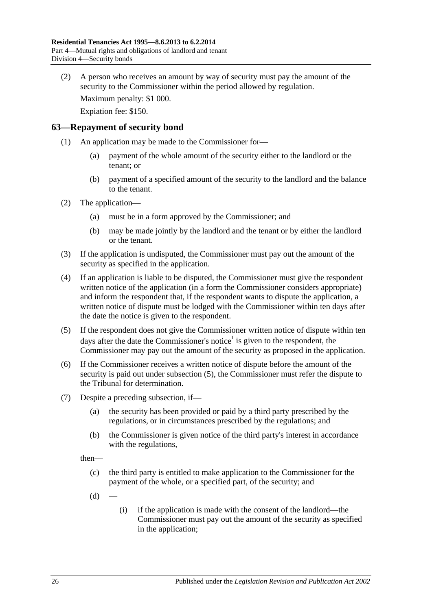(2) A person who receives an amount by way of security must pay the amount of the security to the Commissioner within the period allowed by regulation.

Maximum penalty: \$1 000.

Expiation fee: \$150.

### <span id="page-25-0"></span>**63—Repayment of security bond**

- (1) An application may be made to the Commissioner for—
	- (a) payment of the whole amount of the security either to the landlord or the tenant; or
	- (b) payment of a specified amount of the security to the landlord and the balance to the tenant.
- (2) The application—
	- (a) must be in a form approved by the Commissioner; and
	- (b) may be made jointly by the landlord and the tenant or by either the landlord or the tenant.
- (3) If the application is undisputed, the Commissioner must pay out the amount of the security as specified in the application.
- <span id="page-25-3"></span>(4) If an application is liable to be disputed, the Commissioner must give the respondent written notice of the application (in a form the Commissioner considers appropriate) and inform the respondent that, if the respondent wants to dispute the application, a written notice of dispute must be lodged with the Commissioner within ten days after the date the notice is given to the respondent.
- <span id="page-25-1"></span>(5) If the respondent does not give the Commissioner written notice of dispute within ten days after the date the Commissioner's notice<sup>1</sup> is given to the respondent, the Commissioner may pay out the amount of the security as proposed in the application.
- (6) If the Commissioner receives a written notice of dispute before the amount of the security is paid out under [subsection](#page-25-1) (5), the Commissioner must refer the dispute to the Tribunal for determination.
- <span id="page-25-2"></span>(7) Despite a preceding subsection, if—
	- (a) the security has been provided or paid by a third party prescribed by the regulations, or in circumstances prescribed by the regulations; and
	- (b) the Commissioner is given notice of the third party's interest in accordance with the regulations,

then—

- (c) the third party is entitled to make application to the Commissioner for the payment of the whole, or a specified part, of the security; and
- $(d)$
- (i) if the application is made with the consent of the landlord—the Commissioner must pay out the amount of the security as specified in the application;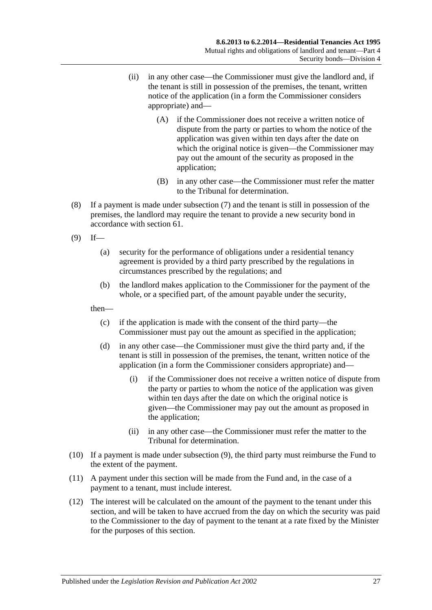- (ii) in any other case—the Commissioner must give the landlord and, if the tenant is still in possession of the premises, the tenant, written notice of the application (in a form the Commissioner considers appropriate) and—
	- (A) if the Commissioner does not receive a written notice of dispute from the party or parties to whom the notice of the application was given within ten days after the date on which the original notice is given—the Commissioner may pay out the amount of the security as proposed in the application;
	- (B) in any other case—the Commissioner must refer the matter to the Tribunal for determination.
- (8) If a payment is made under [subsection](#page-25-2) (7) and the tenant is still in possession of the premises, the landlord may require the tenant to provide a new security bond in accordance with [section](#page-24-2) 61.
- <span id="page-26-0"></span> $(9)$  If—
	- (a) security for the performance of obligations under a residential tenancy agreement is provided by a third party prescribed by the regulations in circumstances prescribed by the regulations; and
	- (b) the landlord makes application to the Commissioner for the payment of the whole, or a specified part, of the amount payable under the security,

then—

- (c) if the application is made with the consent of the third party—the Commissioner must pay out the amount as specified in the application;
- (d) in any other case—the Commissioner must give the third party and, if the tenant is still in possession of the premises, the tenant, written notice of the application (in a form the Commissioner considers appropriate) and—
	- (i) if the Commissioner does not receive a written notice of dispute from the party or parties to whom the notice of the application was given within ten days after the date on which the original notice is given—the Commissioner may pay out the amount as proposed in the application;
	- (ii) in any other case—the Commissioner must refer the matter to the Tribunal for determination.
- (10) If a payment is made under [subsection](#page-26-0) (9), the third party must reimburse the Fund to the extent of the payment.
- (11) A payment under this section will be made from the Fund and, in the case of a payment to a tenant, must include interest.
- (12) The interest will be calculated on the amount of the payment to the tenant under this section, and will be taken to have accrued from the day on which the security was paid to the Commissioner to the day of payment to the tenant at a rate fixed by the Minister for the purposes of this section.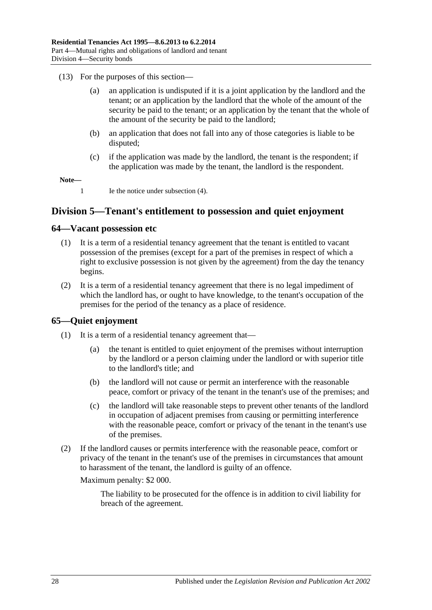- (13) For the purposes of this section—
	- (a) an application is undisputed if it is a joint application by the landlord and the tenant; or an application by the landlord that the whole of the amount of the security be paid to the tenant; or an application by the tenant that the whole of the amount of the security be paid to the landlord;
	- (b) an application that does not fall into any of those categories is liable to be disputed;
	- (c) if the application was made by the landlord, the tenant is the respondent; if the application was made by the tenant, the landlord is the respondent.

**Note—**

1 Ie the notice unde[r subsection](#page-25-3) (4).

## <span id="page-27-0"></span>**Division 5—Tenant's entitlement to possession and quiet enjoyment**

#### <span id="page-27-1"></span>**64—Vacant possession etc**

- (1) It is a term of a residential tenancy agreement that the tenant is entitled to vacant possession of the premises (except for a part of the premises in respect of which a right to exclusive possession is not given by the agreement) from the day the tenancy begins.
- (2) It is a term of a residential tenancy agreement that there is no legal impediment of which the landlord has, or ought to have knowledge, to the tenant's occupation of the premises for the period of the tenancy as a place of residence.

## <span id="page-27-2"></span>**65—Quiet enjoyment**

- (1) It is a term of a residential tenancy agreement that—
	- (a) the tenant is entitled to quiet enjoyment of the premises without interruption by the landlord or a person claiming under the landlord or with superior title to the landlord's title; and
	- (b) the landlord will not cause or permit an interference with the reasonable peace, comfort or privacy of the tenant in the tenant's use of the premises; and
	- (c) the landlord will take reasonable steps to prevent other tenants of the landlord in occupation of adjacent premises from causing or permitting interference with the reasonable peace, comfort or privacy of the tenant in the tenant's use of the premises.
- (2) If the landlord causes or permits interference with the reasonable peace, comfort or privacy of the tenant in the tenant's use of the premises in circumstances that amount to harassment of the tenant, the landlord is guilty of an offence.

Maximum penalty: \$2 000.

The liability to be prosecuted for the offence is in addition to civil liability for breach of the agreement.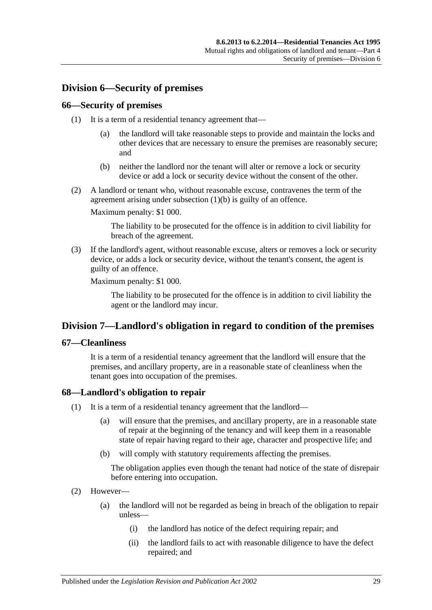## <span id="page-28-0"></span>**Division 6—Security of premises**

## <span id="page-28-1"></span>**66—Security of premises**

- (1) It is a term of a residential tenancy agreement that—
	- (a) the landlord will take reasonable steps to provide and maintain the locks and other devices that are necessary to ensure the premises are reasonably secure; and
	- (b) neither the landlord nor the tenant will alter or remove a lock or security device or add a lock or security device without the consent of the other.
- <span id="page-28-5"></span>(2) A landlord or tenant who, without reasonable excuse, contravenes the term of the agreement arising under [subsection](#page-28-5) (1)(b) is guilty of an offence.

Maximum penalty: \$1 000.

The liability to be prosecuted for the offence is in addition to civil liability for breach of the agreement.

(3) If the landlord's agent, without reasonable excuse, alters or removes a lock or security device, or adds a lock or security device, without the tenant's consent, the agent is guilty of an offence.

Maximum penalty: \$1 000.

The liability to be prosecuted for the offence is in addition to civil liability the agent or the landlord may incur.

## <span id="page-28-2"></span>**Division 7—Landlord's obligation in regard to condition of the premises**

## <span id="page-28-3"></span>**67—Cleanliness**

It is a term of a residential tenancy agreement that the landlord will ensure that the premises, and ancillary property, are in a reasonable state of cleanliness when the tenant goes into occupation of the premises.

## <span id="page-28-6"></span><span id="page-28-4"></span>**68—Landlord's obligation to repair**

- (1) It is a term of a residential tenancy agreement that the landlord—
	- (a) will ensure that the premises, and ancillary property, are in a reasonable state of repair at the beginning of the tenancy and will keep them in a reasonable state of repair having regard to their age, character and prospective life; and
	- (b) will comply with statutory requirements affecting the premises.

The obligation applies even though the tenant had notice of the state of disrepair before entering into occupation.

- (2) However—
	- (a) the landlord will not be regarded as being in breach of the obligation to repair unless—
		- (i) the landlord has notice of the defect requiring repair; and
		- (ii) the landlord fails to act with reasonable diligence to have the defect repaired; and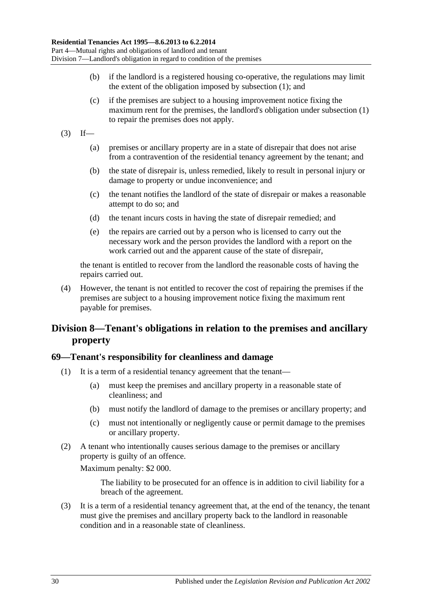- (b) if the landlord is a registered housing co-operative, the regulations may limit the extent of the obligation imposed by [subsection](#page-28-6) (1); and
- (c) if the premises are subject to a housing improvement notice fixing the maximum rent for the premises, the landlord's obligation under [subsection](#page-28-6) (1) to repair the premises does not apply.
- $(3)$  If—
	- (a) premises or ancillary property are in a state of disrepair that does not arise from a contravention of the residential tenancy agreement by the tenant; and
	- (b) the state of disrepair is, unless remedied, likely to result in personal injury or damage to property or undue inconvenience; and
	- (c) the tenant notifies the landlord of the state of disrepair or makes a reasonable attempt to do so; and
	- (d) the tenant incurs costs in having the state of disrepair remedied; and
	- (e) the repairs are carried out by a person who is licensed to carry out the necessary work and the person provides the landlord with a report on the work carried out and the apparent cause of the state of disrepair,

the tenant is entitled to recover from the landlord the reasonable costs of having the repairs carried out.

(4) However, the tenant is not entitled to recover the cost of repairing the premises if the premises are subject to a housing improvement notice fixing the maximum rent payable for premises.

## <span id="page-29-0"></span>**Division 8—Tenant's obligations in relation to the premises and ancillary property**

#### <span id="page-29-1"></span>**69—Tenant's responsibility for cleanliness and damage**

- (1) It is a term of a residential tenancy agreement that the tenant—
	- (a) must keep the premises and ancillary property in a reasonable state of cleanliness; and
	- (b) must notify the landlord of damage to the premises or ancillary property; and
	- (c) must not intentionally or negligently cause or permit damage to the premises or ancillary property.
- (2) A tenant who intentionally causes serious damage to the premises or ancillary property is guilty of an offence.

Maximum penalty: \$2 000.

The liability to be prosecuted for an offence is in addition to civil liability for a breach of the agreement.

(3) It is a term of a residential tenancy agreement that, at the end of the tenancy, the tenant must give the premises and ancillary property back to the landlord in reasonable condition and in a reasonable state of cleanliness.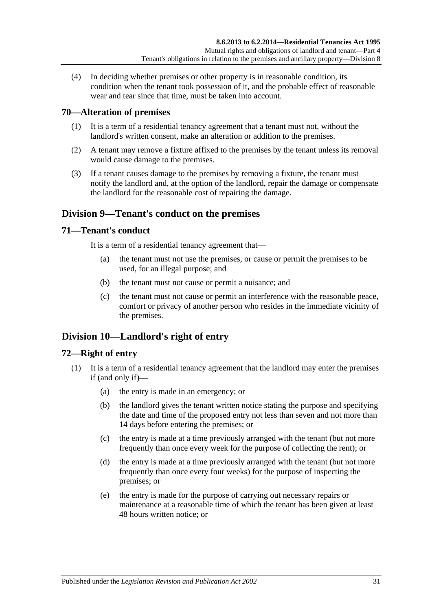(4) In deciding whether premises or other property is in reasonable condition, its condition when the tenant took possession of it, and the probable effect of reasonable wear and tear since that time, must be taken into account.

## <span id="page-30-0"></span>**70—Alteration of premises**

- (1) It is a term of a residential tenancy agreement that a tenant must not, without the landlord's written consent, make an alteration or addition to the premises.
- (2) A tenant may remove a fixture affixed to the premises by the tenant unless its removal would cause damage to the premises.
- (3) If a tenant causes damage to the premises by removing a fixture, the tenant must notify the landlord and, at the option of the landlord, repair the damage or compensate the landlord for the reasonable cost of repairing the damage.

## <span id="page-30-1"></span>**Division 9—Tenant's conduct on the premises**

### <span id="page-30-2"></span>**71—Tenant's conduct**

It is a term of a residential tenancy agreement that—

- (a) the tenant must not use the premises, or cause or permit the premises to be used, for an illegal purpose; and
- (b) the tenant must not cause or permit a nuisance; and
- (c) the tenant must not cause or permit an interference with the reasonable peace, comfort or privacy of another person who resides in the immediate vicinity of the premises.

## <span id="page-30-3"></span>**Division 10—Landlord's right of entry**

## <span id="page-30-4"></span>**72—Right of entry**

- (1) It is a term of a residential tenancy agreement that the landlord may enter the premises if (and only if)—
	- (a) the entry is made in an emergency; or
	- (b) the landlord gives the tenant written notice stating the purpose and specifying the date and time of the proposed entry not less than seven and not more than 14 days before entering the premises; or
	- (c) the entry is made at a time previously arranged with the tenant (but not more frequently than once every week for the purpose of collecting the rent); or
	- (d) the entry is made at a time previously arranged with the tenant (but not more frequently than once every four weeks) for the purpose of inspecting the premises; or
	- (e) the entry is made for the purpose of carrying out necessary repairs or maintenance at a reasonable time of which the tenant has been given at least 48 hours written notice; or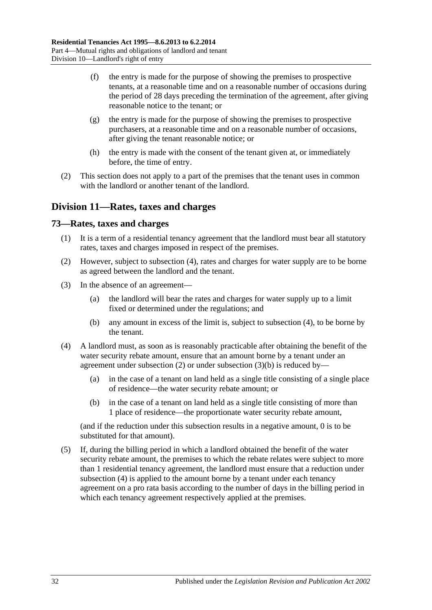- (f) the entry is made for the purpose of showing the premises to prospective tenants, at a reasonable time and on a reasonable number of occasions during the period of 28 days preceding the termination of the agreement, after giving reasonable notice to the tenant; or
- (g) the entry is made for the purpose of showing the premises to prospective purchasers, at a reasonable time and on a reasonable number of occasions, after giving the tenant reasonable notice; or
- (h) the entry is made with the consent of the tenant given at, or immediately before, the time of entry.
- (2) This section does not apply to a part of the premises that the tenant uses in common with the landlord or another tenant of the landlord.

## <span id="page-31-0"></span>**Division 11—Rates, taxes and charges**

### <span id="page-31-1"></span>**73—Rates, taxes and charges**

- (1) It is a term of a residential tenancy agreement that the landlord must bear all statutory rates, taxes and charges imposed in respect of the premises.
- <span id="page-31-3"></span>(2) However, subject to [subsection](#page-31-2) (4), rates and charges for water supply are to be borne as agreed between the landlord and the tenant.
- (3) In the absence of an agreement—
	- (a) the landlord will bear the rates and charges for water supply up to a limit fixed or determined under the regulations; and
	- (b) any amount in excess of the limit is, subject to [subsection](#page-31-2) (4), to be borne by the tenant.
- <span id="page-31-4"></span><span id="page-31-2"></span>(4) A landlord must, as soon as is reasonably practicable after obtaining the benefit of the water security rebate amount, ensure that an amount borne by a tenant under an agreement under [subsection](#page-31-4)  $(2)$  or under subsection  $(3)(b)$  is reduced by-
	- (a) in the case of a tenant on land held as a single title consisting of a single place of residence—the water security rebate amount; or
	- (b) in the case of a tenant on land held as a single title consisting of more than 1 place of residence—the proportionate water security rebate amount,

(and if the reduction under this subsection results in a negative amount, 0 is to be substituted for that amount).

(5) If, during the billing period in which a landlord obtained the benefit of the water security rebate amount, the premises to which the rebate relates were subject to more than 1 residential tenancy agreement, the landlord must ensure that a reduction under [subsection](#page-31-2) (4) is applied to the amount borne by a tenant under each tenancy agreement on a pro rata basis according to the number of days in the billing period in which each tenancy agreement respectively applied at the premises.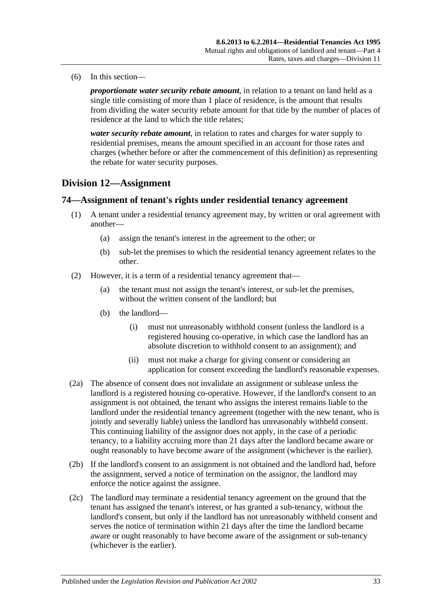(6) In this section—

*proportionate water security rebate amount*, in relation to a tenant on land held as a single title consisting of more than 1 place of residence, is the amount that results from dividing the water security rebate amount for that title by the number of places of residence at the land to which the title relates;

*water security rebate amount*, in relation to rates and charges for water supply to residential premises, means the amount specified in an account for those rates and charges (whether before or after the commencement of this definition) as representing the rebate for water security purposes.

## <span id="page-32-0"></span>**Division 12—Assignment**

## <span id="page-32-1"></span>**74—Assignment of tenant's rights under residential tenancy agreement**

- (1) A tenant under a residential tenancy agreement may, by written or oral agreement with another—
	- (a) assign the tenant's interest in the agreement to the other; or
	- (b) sub-let the premises to which the residential tenancy agreement relates to the other.
- (2) However, it is a term of a residential tenancy agreement that—
	- (a) the tenant must not assign the tenant's interest, or sub-let the premises, without the written consent of the landlord; but
	- (b) the landlord—
		- (i) must not unreasonably withhold consent (unless the landlord is a registered housing co-operative, in which case the landlord has an absolute discretion to withhold consent to an assignment); and
		- (ii) must not make a charge for giving consent or considering an application for consent exceeding the landlord's reasonable expenses.
- (2a) The absence of consent does not invalidate an assignment or sublease unless the landlord is a registered housing co-operative. However, if the landlord's consent to an assignment is not obtained, the tenant who assigns the interest remains liable to the landlord under the residential tenancy agreement (together with the new tenant, who is jointly and severally liable) unless the landlord has unreasonably withheld consent. This continuing liability of the assignor does not apply, in the case of a periodic tenancy, to a liability accruing more than 21 days after the landlord became aware or ought reasonably to have become aware of the assignment (whichever is the earlier).
- (2b) If the landlord's consent to an assignment is not obtained and the landlord had, before the assignment, served a notice of termination on the assignor, the landlord may enforce the notice against the assignee.
- (2c) The landlord may terminate a residential tenancy agreement on the ground that the tenant has assigned the tenant's interest, or has granted a sub-tenancy, without the landlord's consent, but only if the landlord has not unreasonably withheld consent and serves the notice of termination within 21 days after the time the landlord became aware or ought reasonably to have become aware of the assignment or sub-tenancy (whichever is the earlier).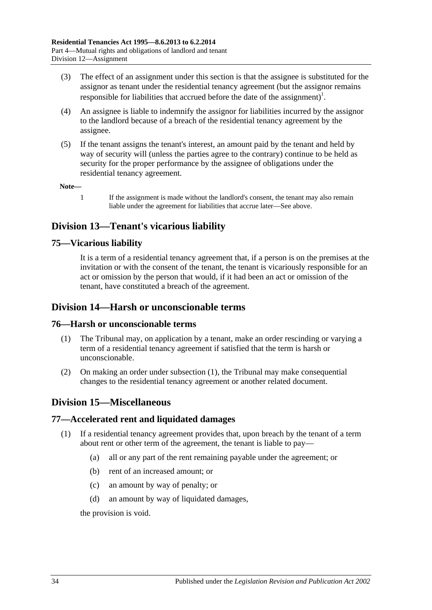- (3) The effect of an assignment under this section is that the assignee is substituted for the assignor as tenant under the residential tenancy agreement (but the assignor remains responsible for liabilities that accrued before the date of the assignment)<sup>1</sup>.
- (4) An assignee is liable to indemnify the assignor for liabilities incurred by the assignor to the landlord because of a breach of the residential tenancy agreement by the assignee.
- (5) If the tenant assigns the tenant's interest, an amount paid by the tenant and held by way of security will (unless the parties agree to the contrary) continue to be held as security for the proper performance by the assignee of obligations under the residential tenancy agreement.

**Note—**

1 If the assignment is made without the landlord's consent, the tenant may also remain liable under the agreement for liabilities that accrue later—See above.

## <span id="page-33-0"></span>**Division 13—Tenant's vicarious liability**

## <span id="page-33-1"></span>**75—Vicarious liability**

It is a term of a residential tenancy agreement that, if a person is on the premises at the invitation or with the consent of the tenant, the tenant is vicariously responsible for an act or omission by the person that would, if it had been an act or omission of the tenant, have constituted a breach of the agreement.

## <span id="page-33-2"></span>**Division 14—Harsh or unconscionable terms**

## <span id="page-33-6"></span><span id="page-33-3"></span>**76—Harsh or unconscionable terms**

- (1) The Tribunal may, on application by a tenant, make an order rescinding or varying a term of a residential tenancy agreement if satisfied that the term is harsh or unconscionable.
- (2) On making an order under [subsection](#page-33-6) (1), the Tribunal may make consequential changes to the residential tenancy agreement or another related document.

## <span id="page-33-4"></span>**Division 15—Miscellaneous**

## <span id="page-33-5"></span>**77—Accelerated rent and liquidated damages**

- (1) If a residential tenancy agreement provides that, upon breach by the tenant of a term about rent or other term of the agreement, the tenant is liable to pay—
	- (a) all or any part of the rent remaining payable under the agreement; or
	- (b) rent of an increased amount; or
	- (c) an amount by way of penalty; or
	- (d) an amount by way of liquidated damages,

the provision is void.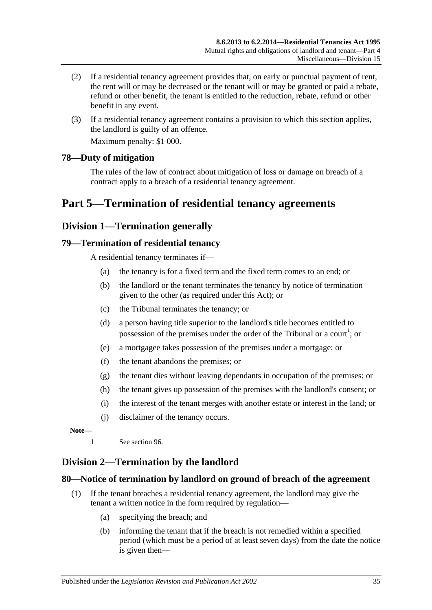- (2) If a residential tenancy agreement provides that, on early or punctual payment of rent, the rent will or may be decreased or the tenant will or may be granted or paid a rebate, refund or other benefit, the tenant is entitled to the reduction, rebate, refund or other benefit in any event.
- (3) If a residential tenancy agreement contains a provision to which this section applies, the landlord is guilty of an offence.

Maximum penalty: \$1 000.

## <span id="page-34-0"></span>**78—Duty of mitigation**

The rules of the law of contract about mitigation of loss or damage on breach of a contract apply to a breach of a residential tenancy agreement.

## <span id="page-34-1"></span>**Part 5—Termination of residential tenancy agreements**

## <span id="page-34-2"></span>**Division 1—Termination generally**

### <span id="page-34-3"></span>**79—Termination of residential tenancy**

A residential tenancy terminates if—

- (a) the tenancy is for a fixed term and the fixed term comes to an end; or
- (b) the landlord or the tenant terminates the tenancy by notice of termination given to the other (as required under this Act); or
- (c) the Tribunal terminates the tenancy; or
- (d) a person having title superior to the landlord's title becomes entitled to possession of the premises under the order of the Tribunal or a court<sup>1</sup>; or
- (e) a mortgagee takes possession of the premises under a mortgage; or
- (f) the tenant abandons the premises; or
- (g) the tenant dies without leaving dependants in occupation of the premises; or
- (h) the tenant gives up possession of the premises with the landlord's consent; or
- (i) the interest of the tenant merges with another estate or interest in the land; or
- (j) disclaimer of the tenancy occurs.

**Note—**

1 See [section](#page-42-0) 96.

## <span id="page-34-4"></span>**Division 2—Termination by the landlord**

#### <span id="page-34-5"></span>**80—Notice of termination by landlord on ground of breach of the agreement**

- (1) If the tenant breaches a residential tenancy agreement, the landlord may give the tenant a written notice in the form required by regulation—
	- (a) specifying the breach; and
	- (b) informing the tenant that if the breach is not remedied within a specified period (which must be a period of at least seven days) from the date the notice is given then—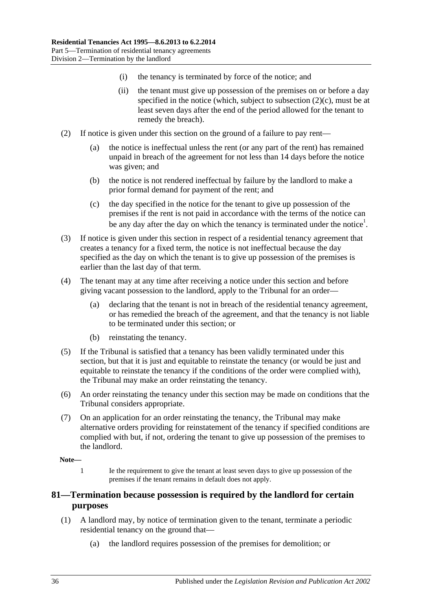- (i) the tenancy is terminated by force of the notice; and
- (ii) the tenant must give up possession of the premises on or before a day specified in the notice (which, subject to [subsection](#page-35-1)  $(2)(c)$ , must be at least seven days after the end of the period allowed for the tenant to remedy the breach).
- (2) If notice is given under this section on the ground of a failure to pay rent—
	- (a) the notice is ineffectual unless the rent (or any part of the rent) has remained unpaid in breach of the agreement for not less than 14 days before the notice was given; and
	- (b) the notice is not rendered ineffectual by failure by the landlord to make a prior formal demand for payment of the rent; and
	- (c) the day specified in the notice for the tenant to give up possession of the premises if the rent is not paid in accordance with the terms of the notice can be any day after the day on which the tenancy is terminated under the notice<sup>1</sup>.
- <span id="page-35-1"></span>(3) If notice is given under this section in respect of a residential tenancy agreement that creates a tenancy for a fixed term, the notice is not ineffectual because the day specified as the day on which the tenant is to give up possession of the premises is earlier than the last day of that term.
- (4) The tenant may at any time after receiving a notice under this section and before giving vacant possession to the landlord, apply to the Tribunal for an order—
	- (a) declaring that the tenant is not in breach of the residential tenancy agreement, or has remedied the breach of the agreement, and that the tenancy is not liable to be terminated under this section; or
	- (b) reinstating the tenancy.
- (5) If the Tribunal is satisfied that a tenancy has been validly terminated under this section, but that it is just and equitable to reinstate the tenancy (or would be just and equitable to reinstate the tenancy if the conditions of the order were complied with), the Tribunal may make an order reinstating the tenancy.
- (6) An order reinstating the tenancy under this section may be made on conditions that the Tribunal considers appropriate.
- (7) On an application for an order reinstating the tenancy, the Tribunal may make alternative orders providing for reinstatement of the tenancy if specified conditions are complied with but, if not, ordering the tenant to give up possession of the premises to the landlord.

#### **Note—**

1 Ie the requirement to give the tenant at least seven days to give up possession of the premises if the tenant remains in default does not apply.

## <span id="page-35-0"></span>**81—Termination because possession is required by the landlord for certain purposes**

- (1) A landlord may, by notice of termination given to the tenant, terminate a periodic residential tenancy on the ground that—
	- (a) the landlord requires possession of the premises for demolition; or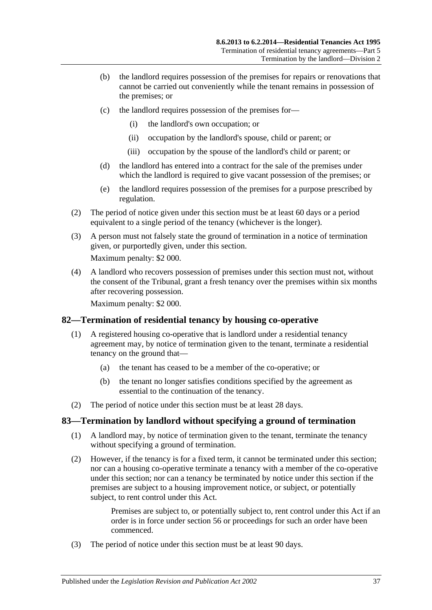- (b) the landlord requires possession of the premises for repairs or renovations that cannot be carried out conveniently while the tenant remains in possession of the premises; or
- (c) the landlord requires possession of the premises for—
	- (i) the landlord's own occupation; or
	- (ii) occupation by the landlord's spouse, child or parent; or
	- (iii) occupation by the spouse of the landlord's child or parent; or
- (d) the landlord has entered into a contract for the sale of the premises under which the landlord is required to give vacant possession of the premises; or
- (e) the landlord requires possession of the premises for a purpose prescribed by regulation.
- (2) The period of notice given under this section must be at least 60 days or a period equivalent to a single period of the tenancy (whichever is the longer).
- (3) A person must not falsely state the ground of termination in a notice of termination given, or purportedly given, under this section.

Maximum penalty: \$2 000.

(4) A landlord who recovers possession of premises under this section must not, without the consent of the Tribunal, grant a fresh tenancy over the premises within six months after recovering possession.

Maximum penalty: \$2 000.

## <span id="page-36-0"></span>**82—Termination of residential tenancy by housing co-operative**

- (1) A registered housing co-operative that is landlord under a residential tenancy agreement may, by notice of termination given to the tenant, terminate a residential tenancy on the ground that—
	- (a) the tenant has ceased to be a member of the co-operative; or
	- (b) the tenant no longer satisfies conditions specified by the agreement as essential to the continuation of the tenancy.
- (2) The period of notice under this section must be at least 28 days.

## <span id="page-36-1"></span>**83—Termination by landlord without specifying a ground of termination**

- (1) A landlord may, by notice of termination given to the tenant, terminate the tenancy without specifying a ground of termination.
- (2) However, if the tenancy is for a fixed term, it cannot be terminated under this section; nor can a housing co-operative terminate a tenancy with a member of the co-operative under this section; nor can a tenancy be terminated by notice under this section if the premises are subject to a housing improvement notice, or subject, or potentially subject, to rent control under this Act.

Premises are subject to, or potentially subject to, rent control under this Act if an order is in force under [section](#page-22-0) 56 or proceedings for such an order have been commenced.

(3) The period of notice under this section must be at least 90 days.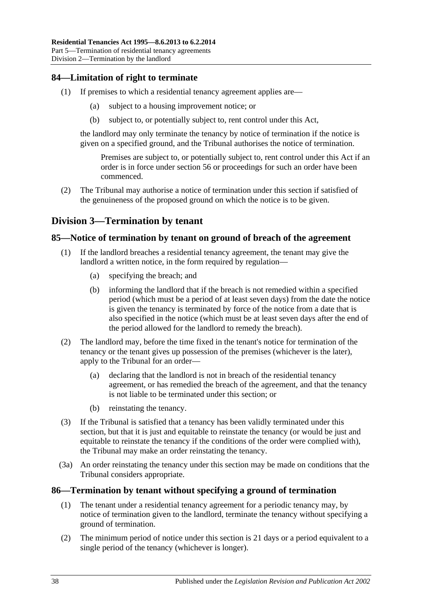## <span id="page-37-0"></span>**84—Limitation of right to terminate**

- (1) If premises to which a residential tenancy agreement applies are—
	- (a) subject to a housing improvement notice; or
	- (b) subject to, or potentially subject to, rent control under this Act,

the landlord may only terminate the tenancy by notice of termination if the notice is given on a specified ground, and the Tribunal authorises the notice of termination.

Premises are subject to, or potentially subject to, rent control under this Act if an order is in force under [section](#page-22-0) 56 or proceedings for such an order have been commenced.

(2) The Tribunal may authorise a notice of termination under this section if satisfied of the genuineness of the proposed ground on which the notice is to be given.

## <span id="page-37-1"></span>**Division 3—Termination by tenant**

## <span id="page-37-2"></span>**85—Notice of termination by tenant on ground of breach of the agreement**

- (1) If the landlord breaches a residential tenancy agreement, the tenant may give the landlord a written notice, in the form required by regulation—
	- (a) specifying the breach; and
	- (b) informing the landlord that if the breach is not remedied within a specified period (which must be a period of at least seven days) from the date the notice is given the tenancy is terminated by force of the notice from a date that is also specified in the notice (which must be at least seven days after the end of the period allowed for the landlord to remedy the breach).
- (2) The landlord may, before the time fixed in the tenant's notice for termination of the tenancy or the tenant gives up possession of the premises (whichever is the later), apply to the Tribunal for an order—
	- (a) declaring that the landlord is not in breach of the residential tenancy agreement, or has remedied the breach of the agreement, and that the tenancy is not liable to be terminated under this section; or
	- (b) reinstating the tenancy.
- (3) If the Tribunal is satisfied that a tenancy has been validly terminated under this section, but that it is just and equitable to reinstate the tenancy (or would be just and equitable to reinstate the tenancy if the conditions of the order were complied with). the Tribunal may make an order reinstating the tenancy.
- (3a) An order reinstating the tenancy under this section may be made on conditions that the Tribunal considers appropriate.

## <span id="page-37-3"></span>**86—Termination by tenant without specifying a ground of termination**

- (1) The tenant under a residential tenancy agreement for a periodic tenancy may, by notice of termination given to the landlord, terminate the tenancy without specifying a ground of termination.
- (2) The minimum period of notice under this section is 21 days or a period equivalent to a single period of the tenancy (whichever is longer).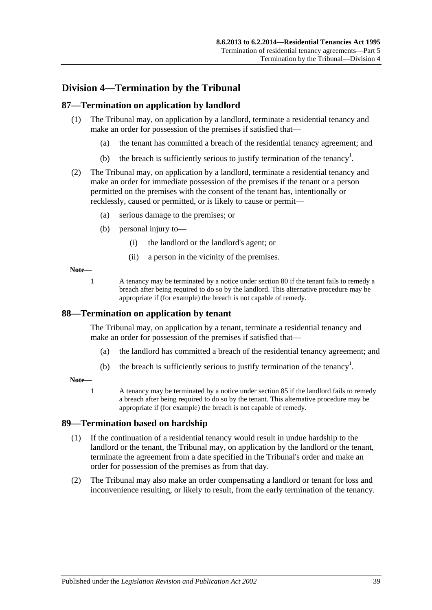## <span id="page-38-0"></span>**Division 4—Termination by the Tribunal**

### <span id="page-38-1"></span>**87—Termination on application by landlord**

- (1) The Tribunal may, on application by a landlord, terminate a residential tenancy and make an order for possession of the premises if satisfied that—
	- (a) the tenant has committed a breach of the residential tenancy agreement; and
	- (b) the breach is sufficiently serious to justify termination of the tenancy<sup>1</sup>.
- (2) The Tribunal may, on application by a landlord, terminate a residential tenancy and make an order for immediate possession of the premises if the tenant or a person permitted on the premises with the consent of the tenant has, intentionally or recklessly, caused or permitted, or is likely to cause or permit—
	- (a) serious damage to the premises; or
	- (b) personal injury to—
		- (i) the landlord or the landlord's agent; or
		- (ii) a person in the vicinity of the premises.

#### **Note—**

1 A tenancy may be terminated by a notice under [section](#page-34-5) 80 if the tenant fails to remedy a breach after being required to do so by the landlord. This alternative procedure may be appropriate if (for example) the breach is not capable of remedy.

#### <span id="page-38-2"></span>**88—Termination on application by tenant**

The Tribunal may, on application by a tenant, terminate a residential tenancy and make an order for possession of the premises if satisfied that—

- (a) the landlord has committed a breach of the residential tenancy agreement; and
- (b) the breach is sufficiently serious to justify termination of the tenancy<sup>1</sup>.

#### **Note—**

1 A tenancy may be terminated by a notice under [section](#page-37-2) 85 if the landlord fails to remedy a breach after being required to do so by the tenant. This alternative procedure may be appropriate if (for example) the breach is not capable of remedy.

#### <span id="page-38-3"></span>**89—Termination based on hardship**

- (1) If the continuation of a residential tenancy would result in undue hardship to the landlord or the tenant, the Tribunal may, on application by the landlord or the tenant, terminate the agreement from a date specified in the Tribunal's order and make an order for possession of the premises as from that day.
- (2) The Tribunal may also make an order compensating a landlord or tenant for loss and inconvenience resulting, or likely to result, from the early termination of the tenancy.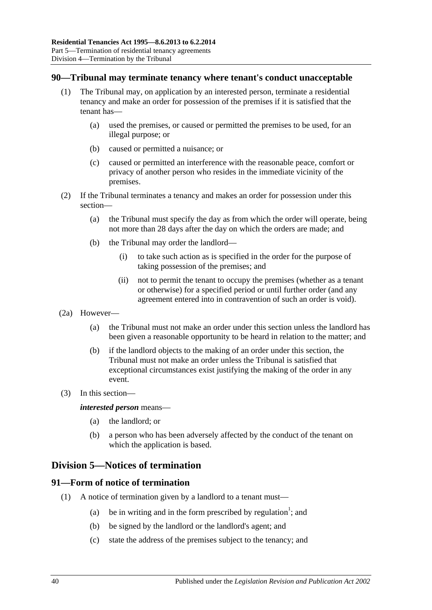## <span id="page-39-0"></span>**90—Tribunal may terminate tenancy where tenant's conduct unacceptable**

- (1) The Tribunal may, on application by an interested person, terminate a residential tenancy and make an order for possession of the premises if it is satisfied that the tenant has—
	- (a) used the premises, or caused or permitted the premises to be used, for an illegal purpose; or
	- (b) caused or permitted a nuisance; or
	- (c) caused or permitted an interference with the reasonable peace, comfort or privacy of another person who resides in the immediate vicinity of the premises.
- (2) If the Tribunal terminates a tenancy and makes an order for possession under this section—
	- (a) the Tribunal must specify the day as from which the order will operate, being not more than 28 days after the day on which the orders are made; and
	- (b) the Tribunal may order the landlord—
		- (i) to take such action as is specified in the order for the purpose of taking possession of the premises; and
		- (ii) not to permit the tenant to occupy the premises (whether as a tenant or otherwise) for a specified period or until further order (and any agreement entered into in contravention of such an order is void).
- (2a) However—
	- (a) the Tribunal must not make an order under this section unless the landlord has been given a reasonable opportunity to be heard in relation to the matter; and
	- (b) if the landlord objects to the making of an order under this section, the Tribunal must not make an order unless the Tribunal is satisfied that exceptional circumstances exist justifying the making of the order in any event.
- (3) In this section—

#### *interested person* means—

- (a) the landlord; or
- (b) a person who has been adversely affected by the conduct of the tenant on which the application is based.

## <span id="page-39-1"></span>**Division 5—Notices of termination**

## <span id="page-39-2"></span>**91—Form of notice of termination**

- (1) A notice of termination given by a landlord to a tenant must—
	- (a) be in writing and in the form prescribed by regulation<sup>1</sup>; and
	- (b) be signed by the landlord or the landlord's agent; and
	- (c) state the address of the premises subject to the tenancy; and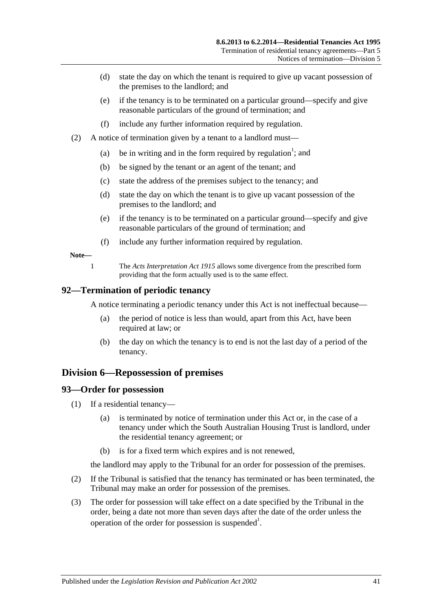- (d) state the day on which the tenant is required to give up vacant possession of the premises to the landlord; and
- (e) if the tenancy is to be terminated on a particular ground—specify and give reasonable particulars of the ground of termination; and
- (f) include any further information required by regulation.
- (2) A notice of termination given by a tenant to a landlord must—
	- (a) be in writing and in the form required by regulation<sup>1</sup>; and
	- (b) be signed by the tenant or an agent of the tenant; and
	- (c) state the address of the premises subject to the tenancy; and
	- (d) state the day on which the tenant is to give up vacant possession of the premises to the landlord; and
	- (e) if the tenancy is to be terminated on a particular ground—specify and give reasonable particulars of the ground of termination; and
	- (f) include any further information required by regulation.

#### **Note—**

1 The *[Acts Interpretation Act](http://www.legislation.sa.gov.au/index.aspx?action=legref&type=act&legtitle=Acts%20Interpretation%20Act%201915) 1915* allows some divergence from the prescribed form providing that the form actually used is to the same effect.

#### <span id="page-40-0"></span>**92—Termination of periodic tenancy**

A notice terminating a periodic tenancy under this Act is not ineffectual because—

- (a) the period of notice is less than would, apart from this Act, have been required at law; or
- (b) the day on which the tenancy is to end is not the last day of a period of the tenancy.

## <span id="page-40-1"></span>**Division 6—Repossession of premises**

#### <span id="page-40-2"></span>**93—Order for possession**

- (1) If a residential tenancy—
	- (a) is terminated by notice of termination under this Act or, in the case of a tenancy under which the South Australian Housing Trust is landlord, under the residential tenancy agreement; or
	- (b) is for a fixed term which expires and is not renewed,

the landlord may apply to the Tribunal for an order for possession of the premises.

- (2) If the Tribunal is satisfied that the tenancy has terminated or has been terminated, the Tribunal may make an order for possession of the premises.
- (3) The order for possession will take effect on a date specified by the Tribunal in the order, being a date not more than seven days after the date of the order unless the operation of the order for possession is suspended<sup>1</sup>.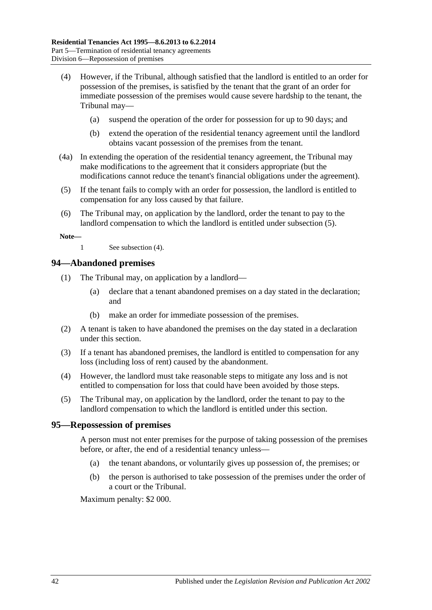- <span id="page-41-3"></span>(4) However, if the Tribunal, although satisfied that the landlord is entitled to an order for possession of the premises, is satisfied by the tenant that the grant of an order for immediate possession of the premises would cause severe hardship to the tenant, the Tribunal may—
	- (a) suspend the operation of the order for possession for up to 90 days; and
	- (b) extend the operation of the residential tenancy agreement until the landlord obtains vacant possession of the premises from the tenant.
- (4a) In extending the operation of the residential tenancy agreement, the Tribunal may make modifications to the agreement that it considers appropriate (but the modifications cannot reduce the tenant's financial obligations under the agreement).
- <span id="page-41-2"></span>(5) If the tenant fails to comply with an order for possession, the landlord is entitled to compensation for any loss caused by that failure.
- (6) The Tribunal may, on application by the landlord, order the tenant to pay to the landlord compensation to which the landlord is entitled under [subsection](#page-41-2) (5).

**Note—**

1 See [subsection](#page-41-3) (4).

#### <span id="page-41-0"></span>**94—Abandoned premises**

- (1) The Tribunal may, on application by a landlord—
	- (a) declare that a tenant abandoned premises on a day stated in the declaration; and
	- (b) make an order for immediate possession of the premises.
- (2) A tenant is taken to have abandoned the premises on the day stated in a declaration under this section.
- (3) If a tenant has abandoned premises, the landlord is entitled to compensation for any loss (including loss of rent) caused by the abandonment.
- (4) However, the landlord must take reasonable steps to mitigate any loss and is not entitled to compensation for loss that could have been avoided by those steps.
- (5) The Tribunal may, on application by the landlord, order the tenant to pay to the landlord compensation to which the landlord is entitled under this section.

#### <span id="page-41-1"></span>**95—Repossession of premises**

A person must not enter premises for the purpose of taking possession of the premises before, or after, the end of a residential tenancy unless—

- (a) the tenant abandons, or voluntarily gives up possession of, the premises; or
- (b) the person is authorised to take possession of the premises under the order of a court or the Tribunal.

Maximum penalty: \$2 000.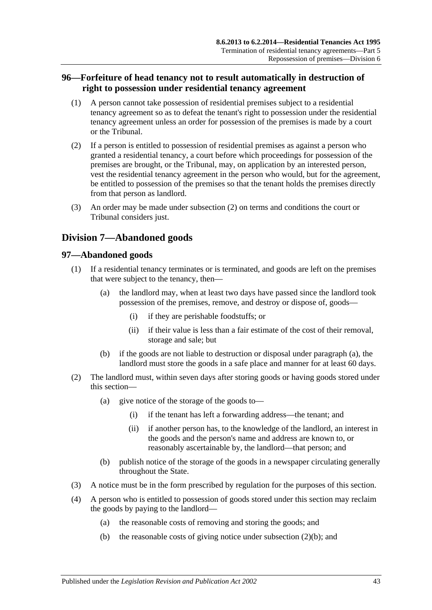## <span id="page-42-0"></span>**96—Forfeiture of head tenancy not to result automatically in destruction of right to possession under residential tenancy agreement**

- (1) A person cannot take possession of residential premises subject to a residential tenancy agreement so as to defeat the tenant's right to possession under the residential tenancy agreement unless an order for possession of the premises is made by a court or the Tribunal.
- <span id="page-42-3"></span>(2) If a person is entitled to possession of residential premises as against a person who granted a residential tenancy, a court before which proceedings for possession of the premises are brought, or the Tribunal, may, on application by an interested person, vest the residential tenancy agreement in the person who would, but for the agreement, be entitled to possession of the premises so that the tenant holds the premises directly from that person as landlord.
- (3) An order may be made under [subsection](#page-42-3) (2) on terms and conditions the court or Tribunal considers just.

## <span id="page-42-1"></span>**Division 7—Abandoned goods**

## <span id="page-42-2"></span>**97—Abandoned goods**

- <span id="page-42-4"></span>(1) If a residential tenancy terminates or is terminated, and goods are left on the premises that were subject to the tenancy, then—
	- (a) the landlord may, when at least two days have passed since the landlord took possession of the premises, remove, and destroy or dispose of, goods—
		- (i) if they are perishable foodstuffs; or
		- (ii) if their value is less than a fair estimate of the cost of their removal, storage and sale; but
	- (b) if the goods are not liable to destruction or disposal under [paragraph](#page-42-4) (a), the landlord must store the goods in a safe place and manner for at least 60 days.
- (2) The landlord must, within seven days after storing goods or having goods stored under this section—
	- (a) give notice of the storage of the goods to—
		- (i) if the tenant has left a forwarding address—the tenant; and
		- (ii) if another person has, to the knowledge of the landlord, an interest in the goods and the person's name and address are known to, or reasonably ascertainable by, the landlord—that person; and
	- (b) publish notice of the storage of the goods in a newspaper circulating generally throughout the State.
- <span id="page-42-5"></span>(3) A notice must be in the form prescribed by regulation for the purposes of this section.
- (4) A person who is entitled to possession of goods stored under this section may reclaim the goods by paying to the landlord—
	- (a) the reasonable costs of removing and storing the goods; and
	- (b) the reasonable costs of giving notice under [subsection](#page-42-5)  $(2)(b)$ ; and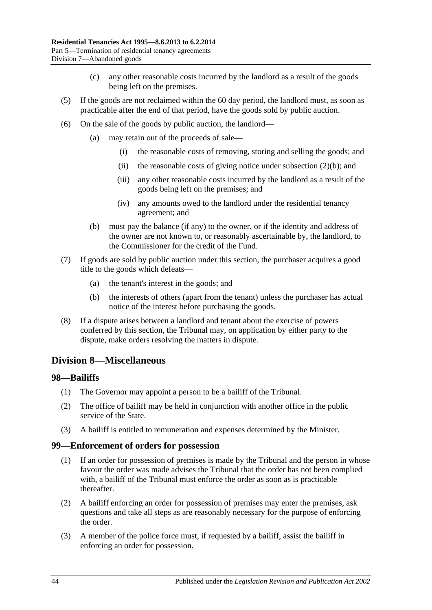- (c) any other reasonable costs incurred by the landlord as a result of the goods being left on the premises.
- (5) If the goods are not reclaimed within the 60 day period, the landlord must, as soon as practicable after the end of that period, have the goods sold by public auction.
- (6) On the sale of the goods by public auction, the landlord—
	- (a) may retain out of the proceeds of sale—
		- (i) the reasonable costs of removing, storing and selling the goods; and
		- (ii) the reasonable costs of giving notice under [subsection](#page-42-5)  $(2)(b)$ ; and
		- (iii) any other reasonable costs incurred by the landlord as a result of the goods being left on the premises; and
		- (iv) any amounts owed to the landlord under the residential tenancy agreement; and
	- (b) must pay the balance (if any) to the owner, or if the identity and address of the owner are not known to, or reasonably ascertainable by, the landlord, to the Commissioner for the credit of the Fund.
- (7) If goods are sold by public auction under this section, the purchaser acquires a good title to the goods which defeats—
	- (a) the tenant's interest in the goods; and
	- (b) the interests of others (apart from the tenant) unless the purchaser has actual notice of the interest before purchasing the goods.
- (8) If a dispute arises between a landlord and tenant about the exercise of powers conferred by this section, the Tribunal may, on application by either party to the dispute, make orders resolving the matters in dispute.

## <span id="page-43-0"></span>**Division 8—Miscellaneous**

#### <span id="page-43-1"></span>**98—Bailiffs**

- (1) The Governor may appoint a person to be a bailiff of the Tribunal.
- (2) The office of bailiff may be held in conjunction with another office in the public service of the State.
- (3) A bailiff is entitled to remuneration and expenses determined by the Minister.

#### <span id="page-43-2"></span>**99—Enforcement of orders for possession**

- (1) If an order for possession of premises is made by the Tribunal and the person in whose favour the order was made advises the Tribunal that the order has not been complied with, a bailiff of the Tribunal must enforce the order as soon as is practicable thereafter.
- (2) A bailiff enforcing an order for possession of premises may enter the premises, ask questions and take all steps as are reasonably necessary for the purpose of enforcing the order.
- (3) A member of the police force must, if requested by a bailiff, assist the bailiff in enforcing an order for possession.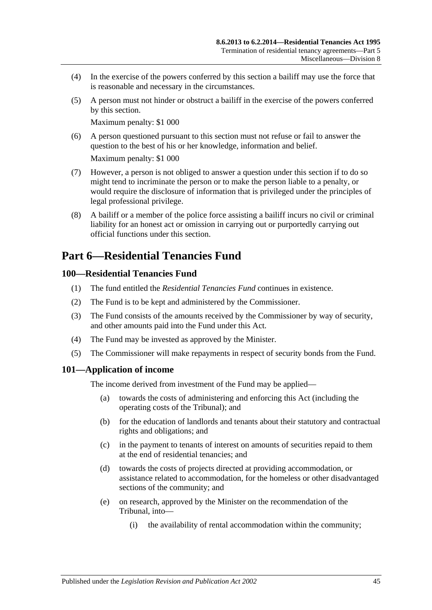- (4) In the exercise of the powers conferred by this section a bailiff may use the force that is reasonable and necessary in the circumstances.
- (5) A person must not hinder or obstruct a bailiff in the exercise of the powers conferred by this section.

Maximum penalty: \$1 000

(6) A person questioned pursuant to this section must not refuse or fail to answer the question to the best of his or her knowledge, information and belief.

Maximum penalty: \$1 000

- (7) However, a person is not obliged to answer a question under this section if to do so might tend to incriminate the person or to make the person liable to a penalty, or would require the disclosure of information that is privileged under the principles of legal professional privilege.
- (8) A bailiff or a member of the police force assisting a bailiff incurs no civil or criminal liability for an honest act or omission in carrying out or purportedly carrying out official functions under this section.

## <span id="page-44-0"></span>**Part 6—Residential Tenancies Fund**

## <span id="page-44-1"></span>**100—Residential Tenancies Fund**

- (1) The fund entitled the *Residential Tenancies Fund* continues in existence.
- (2) The Fund is to be kept and administered by the Commissioner.
- (3) The Fund consists of the amounts received by the Commissioner by way of security, and other amounts paid into the Fund under this Act.
- (4) The Fund may be invested as approved by the Minister.
- (5) The Commissioner will make repayments in respect of security bonds from the Fund.

## <span id="page-44-2"></span>**101—Application of income**

The income derived from investment of the Fund may be applied—

- (a) towards the costs of administering and enforcing this Act (including the operating costs of the Tribunal); and
- (b) for the education of landlords and tenants about their statutory and contractual rights and obligations; and
- (c) in the payment to tenants of interest on amounts of securities repaid to them at the end of residential tenancies; and
- (d) towards the costs of projects directed at providing accommodation, or assistance related to accommodation, for the homeless or other disadvantaged sections of the community; and
- (e) on research, approved by the Minister on the recommendation of the Tribunal, into—
	- (i) the availability of rental accommodation within the community;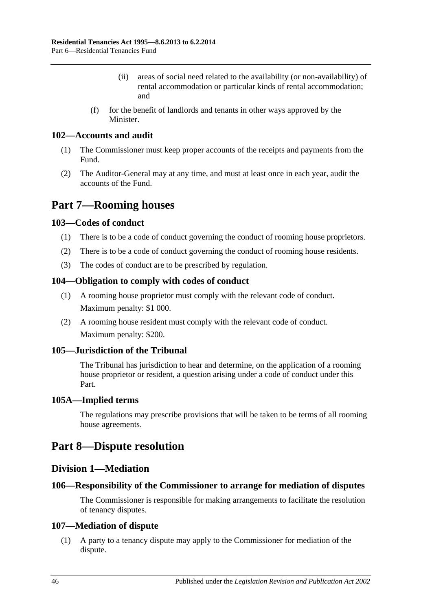- (ii) areas of social need related to the availability (or non-availability) of rental accommodation or particular kinds of rental accommodation; and
- (f) for the benefit of landlords and tenants in other ways approved by the **Minister**

## <span id="page-45-0"></span>**102—Accounts and audit**

- (1) The Commissioner must keep proper accounts of the receipts and payments from the Fund.
- (2) The Auditor-General may at any time, and must at least once in each year, audit the accounts of the Fund.

## <span id="page-45-1"></span>**Part 7—Rooming houses**

## <span id="page-45-2"></span>**103—Codes of conduct**

- (1) There is to be a code of conduct governing the conduct of rooming house proprietors.
- (2) There is to be a code of conduct governing the conduct of rooming house residents.
- (3) The codes of conduct are to be prescribed by regulation.

### <span id="page-45-3"></span>**104—Obligation to comply with codes of conduct**

- (1) A rooming house proprietor must comply with the relevant code of conduct. Maximum penalty: \$1 000.
- (2) A rooming house resident must comply with the relevant code of conduct. Maximum penalty: \$200.

## <span id="page-45-4"></span>**105—Jurisdiction of the Tribunal**

The Tribunal has jurisdiction to hear and determine, on the application of a rooming house proprietor or resident, a question arising under a code of conduct under this Part.

#### <span id="page-45-5"></span>**105A—Implied terms**

The regulations may prescribe provisions that will be taken to be terms of all rooming house agreements.

## <span id="page-45-7"></span><span id="page-45-6"></span>**Part 8—Dispute resolution**

## **Division 1—Mediation**

## <span id="page-45-8"></span>**106—Responsibility of the Commissioner to arrange for mediation of disputes**

The Commissioner is responsible for making arrangements to facilitate the resolution of tenancy disputes.

#### <span id="page-45-9"></span>**107—Mediation of dispute**

(1) A party to a tenancy dispute may apply to the Commissioner for mediation of the dispute.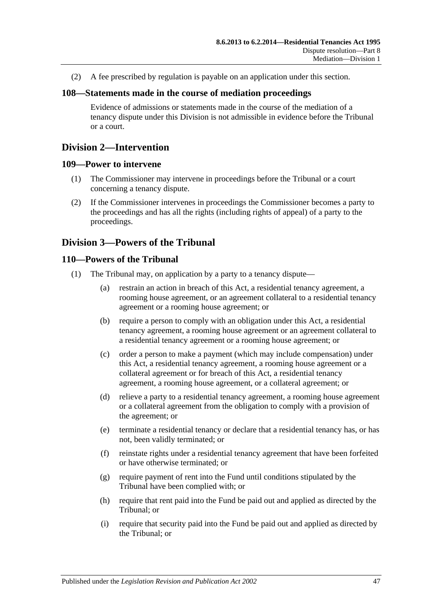(2) A fee prescribed by regulation is payable on an application under this section.

#### <span id="page-46-0"></span>**108—Statements made in the course of mediation proceedings**

Evidence of admissions or statements made in the course of the mediation of a tenancy dispute under this Division is not admissible in evidence before the Tribunal or a court.

## <span id="page-46-1"></span>**Division 2—Intervention**

#### <span id="page-46-2"></span>**109—Power to intervene**

- (1) The Commissioner may intervene in proceedings before the Tribunal or a court concerning a tenancy dispute.
- (2) If the Commissioner intervenes in proceedings the Commissioner becomes a party to the proceedings and has all the rights (including rights of appeal) of a party to the proceedings.

## <span id="page-46-3"></span>**Division 3—Powers of the Tribunal**

### <span id="page-46-4"></span>**110—Powers of the Tribunal**

- (1) The Tribunal may, on application by a party to a tenancy dispute—
	- (a) restrain an action in breach of this Act, a residential tenancy agreement, a rooming house agreement, or an agreement collateral to a residential tenancy agreement or a rooming house agreement; or
	- (b) require a person to comply with an obligation under this Act, a residential tenancy agreement, a rooming house agreement or an agreement collateral to a residential tenancy agreement or a rooming house agreement; or
	- (c) order a person to make a payment (which may include compensation) under this Act, a residential tenancy agreement, a rooming house agreement or a collateral agreement or for breach of this Act, a residential tenancy agreement, a rooming house agreement, or a collateral agreement; or
	- (d) relieve a party to a residential tenancy agreement, a rooming house agreement or a collateral agreement from the obligation to comply with a provision of the agreement; or
	- (e) terminate a residential tenancy or declare that a residential tenancy has, or has not, been validly terminated; or
	- (f) reinstate rights under a residential tenancy agreement that have been forfeited or have otherwise terminated; or
	- (g) require payment of rent into the Fund until conditions stipulated by the Tribunal have been complied with; or
	- (h) require that rent paid into the Fund be paid out and applied as directed by the Tribunal; or
	- (i) require that security paid into the Fund be paid out and applied as directed by the Tribunal; or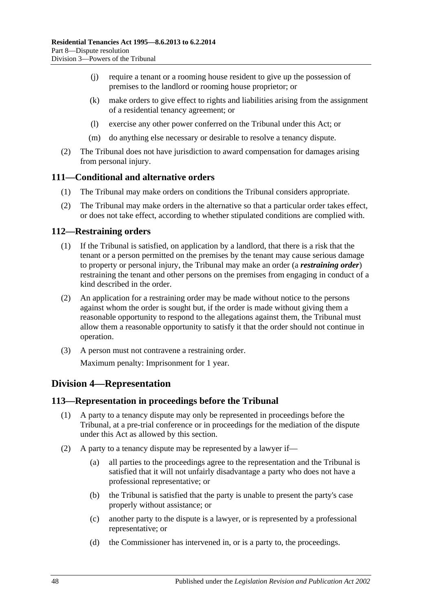- (j) require a tenant or a rooming house resident to give up the possession of premises to the landlord or rooming house proprietor; or
- (k) make orders to give effect to rights and liabilities arising from the assignment of a residential tenancy agreement; or
- (l) exercise any other power conferred on the Tribunal under this Act; or
- (m) do anything else necessary or desirable to resolve a tenancy dispute.
- (2) The Tribunal does not have jurisdiction to award compensation for damages arising from personal injury.

### <span id="page-47-0"></span>**111—Conditional and alternative orders**

- (1) The Tribunal may make orders on conditions the Tribunal considers appropriate.
- (2) The Tribunal may make orders in the alternative so that a particular order takes effect, or does not take effect, according to whether stipulated conditions are complied with.

### <span id="page-47-1"></span>**112—Restraining orders**

- (1) If the Tribunal is satisfied, on application by a landlord, that there is a risk that the tenant or a person permitted on the premises by the tenant may cause serious damage to property or personal injury, the Tribunal may make an order (a *restraining order*) restraining the tenant and other persons on the premises from engaging in conduct of a kind described in the order.
- (2) An application for a restraining order may be made without notice to the persons against whom the order is sought but, if the order is made without giving them a reasonable opportunity to respond to the allegations against them, the Tribunal must allow them a reasonable opportunity to satisfy it that the order should not continue in operation.
- (3) A person must not contravene a restraining order. Maximum penalty: Imprisonment for 1 year.

## <span id="page-47-2"></span>**Division 4—Representation**

## <span id="page-47-3"></span>**113—Representation in proceedings before the Tribunal**

- (1) A party to a tenancy dispute may only be represented in proceedings before the Tribunal, at a pre-trial conference or in proceedings for the mediation of the dispute under this Act as allowed by this section.
- (2) A party to a tenancy dispute may be represented by a lawyer if—
	- (a) all parties to the proceedings agree to the representation and the Tribunal is satisfied that it will not unfairly disadvantage a party who does not have a professional representative; or
	- (b) the Tribunal is satisfied that the party is unable to present the party's case properly without assistance; or
	- (c) another party to the dispute is a lawyer, or is represented by a professional representative; or
	- (d) the Commissioner has intervened in, or is a party to, the proceedings.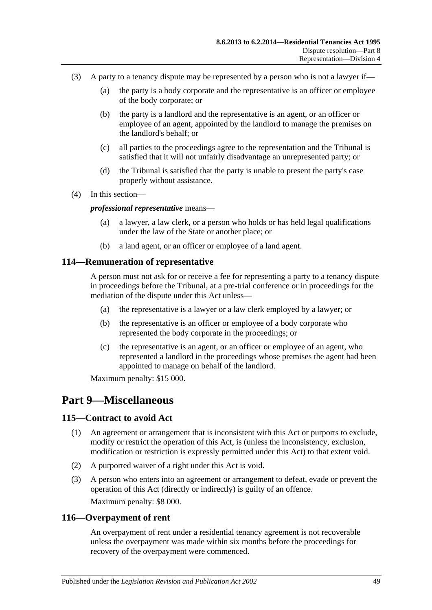- (3) A party to a tenancy dispute may be represented by a person who is not a lawyer if—
	- (a) the party is a body corporate and the representative is an officer or employee of the body corporate; or
	- (b) the party is a landlord and the representative is an agent, or an officer or employee of an agent, appointed by the landlord to manage the premises on the landlord's behalf; or
	- (c) all parties to the proceedings agree to the representation and the Tribunal is satisfied that it will not unfairly disadvantage an unrepresented party; or
	- (d) the Tribunal is satisfied that the party is unable to present the party's case properly without assistance.
- (4) In this section—

#### *professional representative* means—

- (a) a lawyer, a law clerk, or a person who holds or has held legal qualifications under the law of the State or another place; or
- (b) a land agent, or an officer or employee of a land agent.

### <span id="page-48-0"></span>**114—Remuneration of representative**

A person must not ask for or receive a fee for representing a party to a tenancy dispute in proceedings before the Tribunal, at a pre-trial conference or in proceedings for the mediation of the dispute under this Act unless—

- (a) the representative is a lawyer or a law clerk employed by a lawyer; or
- (b) the representative is an officer or employee of a body corporate who represented the body corporate in the proceedings; or
- (c) the representative is an agent, or an officer or employee of an agent, who represented a landlord in the proceedings whose premises the agent had been appointed to manage on behalf of the landlord.

Maximum penalty: \$15 000.

## <span id="page-48-1"></span>**Part 9—Miscellaneous**

#### <span id="page-48-2"></span>**115—Contract to avoid Act**

- (1) An agreement or arrangement that is inconsistent with this Act or purports to exclude, modify or restrict the operation of this Act, is (unless the inconsistency, exclusion, modification or restriction is expressly permitted under this Act) to that extent void.
- (2) A purported waiver of a right under this Act is void.
- (3) A person who enters into an agreement or arrangement to defeat, evade or prevent the operation of this Act (directly or indirectly) is guilty of an offence. Maximum penalty: \$8 000.

#### <span id="page-48-3"></span>**116—Overpayment of rent**

An overpayment of rent under a residential tenancy agreement is not recoverable unless the overpayment was made within six months before the proceedings for recovery of the overpayment were commenced.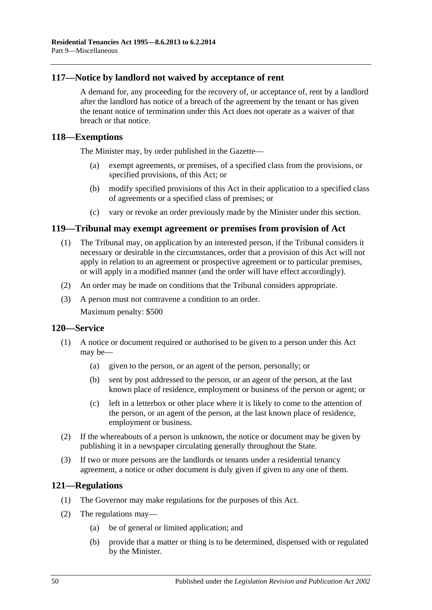## <span id="page-49-0"></span>**117—Notice by landlord not waived by acceptance of rent**

A demand for, any proceeding for the recovery of, or acceptance of, rent by a landlord after the landlord has notice of a breach of the agreement by the tenant or has given the tenant notice of termination under this Act does not operate as a waiver of that breach or that notice.

## <span id="page-49-1"></span>**118—Exemptions**

The Minister may, by order published in the Gazette—

- (a) exempt agreements, or premises, of a specified class from the provisions, or specified provisions, of this Act; or
- (b) modify specified provisions of this Act in their application to a specified class of agreements or a specified class of premises; or
- (c) vary or revoke an order previously made by the Minister under this section.

### <span id="page-49-2"></span>**119—Tribunal may exempt agreement or premises from provision of Act**

- (1) The Tribunal may, on application by an interested person, if the Tribunal considers it necessary or desirable in the circumstances, order that a provision of this Act will not apply in relation to an agreement or prospective agreement or to particular premises, or will apply in a modified manner (and the order will have effect accordingly).
- (2) An order may be made on conditions that the Tribunal considers appropriate.
- (3) A person must not contravene a condition to an order. Maximum penalty: \$500

#### <span id="page-49-3"></span>**120—Service**

- (1) A notice or document required or authorised to be given to a person under this Act may be—
	- (a) given to the person, or an agent of the person, personally; or
	- (b) sent by post addressed to the person, or an agent of the person, at the last known place of residence, employment or business of the person or agent; or
	- (c) left in a letterbox or other place where it is likely to come to the attention of the person, or an agent of the person, at the last known place of residence, employment or business.
- (2) If the whereabouts of a person is unknown, the notice or document may be given by publishing it in a newspaper circulating generally throughout the State.
- (3) If two or more persons are the landlords or tenants under a residential tenancy agreement, a notice or other document is duly given if given to any one of them.

## <span id="page-49-4"></span>**121—Regulations**

- (1) The Governor may make regulations for the purposes of this Act.
- (2) The regulations may—
	- (a) be of general or limited application; and
	- (b) provide that a matter or thing is to be determined, dispensed with or regulated by the Minister.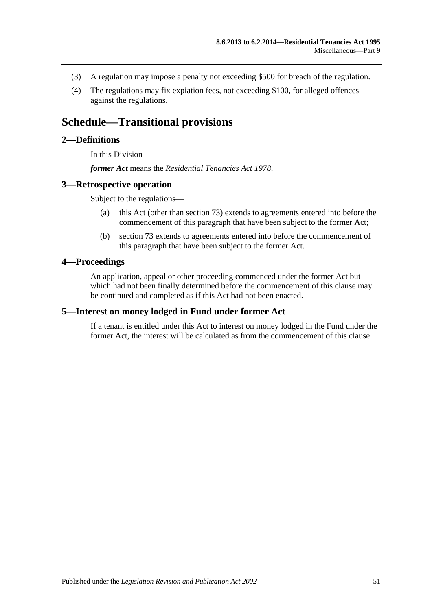- (3) A regulation may impose a penalty not exceeding \$500 for breach of the regulation.
- (4) The regulations may fix expiation fees, not exceeding \$100, for alleged offences against the regulations.

## <span id="page-50-0"></span>**Schedule—Transitional provisions**

## <span id="page-50-1"></span>**2—Definitions**

In this Division—

*former Act* means the *[Residential Tenancies Act](http://www.legislation.sa.gov.au/index.aspx?action=legref&type=act&legtitle=Residential%20Tenancies%20Act%201978) 1978*.

### <span id="page-50-2"></span>**3—Retrospective operation**

Subject to the regulations—

- (a) this Act (other than [section](#page-31-1) 73) extends to agreements entered into before the commencement of this paragraph that have been subject to the former Act;
- (b) [section](#page-31-1) 73 extends to agreements entered into before the commencement of this paragraph that have been subject to the former Act.

### <span id="page-50-3"></span>**4—Proceedings**

An application, appeal or other proceeding commenced under the former Act but which had not been finally determined before the commencement of this clause may be continued and completed as if this Act had not been enacted.

#### <span id="page-50-4"></span>**5—Interest on money lodged in Fund under former Act**

If a tenant is entitled under this Act to interest on money lodged in the Fund under the former Act, the interest will be calculated as from the commencement of this clause.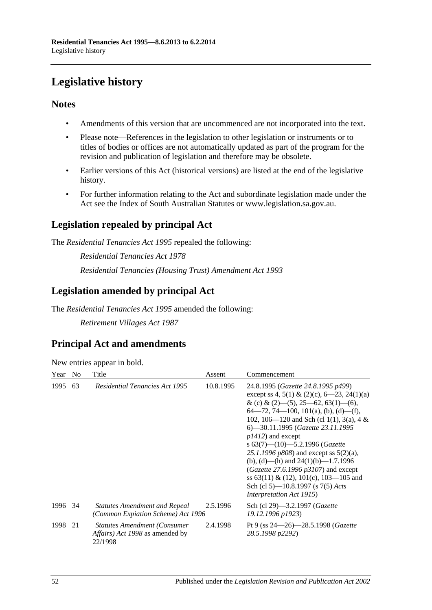# <span id="page-51-0"></span>**Legislative history**

## **Notes**

- Amendments of this version that are uncommenced are not incorporated into the text.
- Please note—References in the legislation to other legislation or instruments or to titles of bodies or offices are not automatically updated as part of the program for the revision and publication of legislation and therefore may be obsolete.
- Earlier versions of this Act (historical versions) are listed at the end of the legislative history.
- For further information relating to the Act and subordinate legislation made under the Act see the Index of South Australian Statutes or www.legislation.sa.gov.au.

## **Legislation repealed by principal Act**

The *Residential Tenancies Act 1995* repealed the following:

*Residential Tenancies Act 1978 Residential Tenancies (Housing Trust) Amendment Act 1993*

## **Legislation amended by principal Act**

The *Residential Tenancies Act 1995* amended the following:

*Retirement Villages Act 1987*

## **Principal Act and amendments**

| New entries appear in bold. |  |  |  |  |  |
|-----------------------------|--|--|--|--|--|
|-----------------------------|--|--|--|--|--|

| Year    | N <sub>o</sub> | Title                                                                                             | Assent    | Commencement                                                                                                                                                                                                                                                                                                                                                                                                                                                                                                                                                                                 |
|---------|----------------|---------------------------------------------------------------------------------------------------|-----------|----------------------------------------------------------------------------------------------------------------------------------------------------------------------------------------------------------------------------------------------------------------------------------------------------------------------------------------------------------------------------------------------------------------------------------------------------------------------------------------------------------------------------------------------------------------------------------------------|
| 1995    | 63             | <b>Residential Tenancies Act 1995</b>                                                             | 10.8.1995 | 24.8.1995 (Gazette 24.8.1995 p499)<br>except ss 4, 5(1) & (2)(c), 6—23, 24(1)(a)<br>& (c) & $(2)$ — $(5)$ , 25—62, 63(1)— $(6)$ ,<br>$64-72, 74-100, 101(a), (b), (d)-(f),$<br>102, 106—120 and Sch (cl 1(1), 3(a), 4 &<br>6)-30.11.1995 (Gazette 23.11.1995<br>$p1412$ ) and except<br>s $63(7)$ — $(10)$ —5.2.1996 (Gazette<br>25.1.1996 $p808$ ) and except ss $5(2)(a)$ ,<br>(b), (d)—(h) and $24(1)(b)$ —1.7.1996<br>(Gazette 27.6.1996 $p3107$ ) and except<br>ss $63(11) \& (12)$ , $101(c)$ , $103-105$ and<br>Sch (cl 5)—10.8.1997 (s 7(5) Acts<br><i>Interpretation Act 1915</i> ) |
| 1996 34 |                | <b>Statutes Amendment and Repeal</b><br>(Common Expiation Scheme) Act 1996                        | 2.5.1996  | Sch (cl 29)-3.2.1997 (Gazette<br>19.12.1996 p1923)                                                                                                                                                                                                                                                                                                                                                                                                                                                                                                                                           |
| 1998    | 21             | <b>Statutes Amendment (Consumer)</b><br><i>Affairs</i> ) <i>Act 1998</i> as amended by<br>22/1998 | 2.4.1998  | Pt 9 (ss $24 - 26$ ) - 28.5.1998 (Gazette<br>28.5.1998 p2292)                                                                                                                                                                                                                                                                                                                                                                                                                                                                                                                                |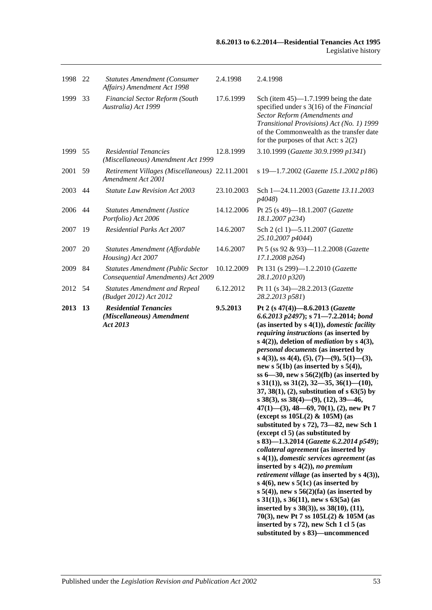| 1998 22 |           | <b>Statutes Amendment (Consumer</b><br>Affairs) Amendment Act 1998      | 2.4.1998   | 2.4.1998                                                                                                                                                                                                                                                                                                                                                                                                                                                                                                                                                                                                                                                                                                                                                                                                                                                                                                                                                                                                                                                                                                                                                                                                                                                                    |
|---------|-----------|-------------------------------------------------------------------------|------------|-----------------------------------------------------------------------------------------------------------------------------------------------------------------------------------------------------------------------------------------------------------------------------------------------------------------------------------------------------------------------------------------------------------------------------------------------------------------------------------------------------------------------------------------------------------------------------------------------------------------------------------------------------------------------------------------------------------------------------------------------------------------------------------------------------------------------------------------------------------------------------------------------------------------------------------------------------------------------------------------------------------------------------------------------------------------------------------------------------------------------------------------------------------------------------------------------------------------------------------------------------------------------------|
| 1999    | 33        | Financial Sector Reform (South<br>Australia) Act 1999                   | 17.6.1999  | Sch (item $45$ )—1.7.1999 being the date<br>specified under s 3(16) of the Financial<br>Sector Reform (Amendments and<br>Transitional Provisions) Act (No. 1) 1999<br>of the Commonwealth as the transfer date<br>for the purposes of that Act: $s$ 2(2)                                                                                                                                                                                                                                                                                                                                                                                                                                                                                                                                                                                                                                                                                                                                                                                                                                                                                                                                                                                                                    |
| 1999    | 55        | <b>Residential Tenancies</b><br>(Miscellaneous) Amendment Act 1999      | 12.8.1999  | 3.10.1999 (Gazette 30.9.1999 p1341)                                                                                                                                                                                                                                                                                                                                                                                                                                                                                                                                                                                                                                                                                                                                                                                                                                                                                                                                                                                                                                                                                                                                                                                                                                         |
| 2001    | 59        | Retirement Villages (Miscellaneous) 22.11.2001<br>Amendment Act 2001    |            | s 19-1.7.2002 (Gazette 15.1.2002 p186)                                                                                                                                                                                                                                                                                                                                                                                                                                                                                                                                                                                                                                                                                                                                                                                                                                                                                                                                                                                                                                                                                                                                                                                                                                      |
| 2003    | 44        | <b>Statute Law Revision Act 2003</b>                                    | 23.10.2003 | Sch 1-24.11.2003 (Gazette 13.11.2003<br>p4048)                                                                                                                                                                                                                                                                                                                                                                                                                                                                                                                                                                                                                                                                                                                                                                                                                                                                                                                                                                                                                                                                                                                                                                                                                              |
| 2006    | 44        | <b>Statutes Amendment (Justice</b><br>Portfolio) Act 2006               | 14.12.2006 | Pt 25 (s 49)-18.1.2007 (Gazette<br>18.1.2007 p234)                                                                                                                                                                                                                                                                                                                                                                                                                                                                                                                                                                                                                                                                                                                                                                                                                                                                                                                                                                                                                                                                                                                                                                                                                          |
| 2007    | 19        | <b>Residential Parks Act 2007</b>                                       | 14.6.2007  | Sch 2 (cl 1)-5.11.2007 (Gazette<br>25.10.2007 p4044)                                                                                                                                                                                                                                                                                                                                                                                                                                                                                                                                                                                                                                                                                                                                                                                                                                                                                                                                                                                                                                                                                                                                                                                                                        |
| 2007    | 20        | Statutes Amendment (Affordable<br>Housing) Act 2007                     | 14.6.2007  | Pt 5 (ss 92 & 93)-11.2.2008 (Gazette<br>17.1.2008 p264)                                                                                                                                                                                                                                                                                                                                                                                                                                                                                                                                                                                                                                                                                                                                                                                                                                                                                                                                                                                                                                                                                                                                                                                                                     |
| 2009    | 84        | Statutes Amendment (Public Sector<br>Consequential Amendments) Act 2009 | 10.12.2009 | Pt 131 (s 299)-1.2.2010 (Gazette<br>28.1.2010 p320)                                                                                                                                                                                                                                                                                                                                                                                                                                                                                                                                                                                                                                                                                                                                                                                                                                                                                                                                                                                                                                                                                                                                                                                                                         |
| 2012 54 |           | <b>Statutes Amendment and Repeal</b><br>(Budget 2012) Act 2012          | 6.12.2012  | Pt 11 (s 34)-28.2.2013 (Gazette<br>28.2.2013 p581)                                                                                                                                                                                                                                                                                                                                                                                                                                                                                                                                                                                                                                                                                                                                                                                                                                                                                                                                                                                                                                                                                                                                                                                                                          |
| 2013    | <b>13</b> | <b>Residential Tenancies</b><br>(Miscellaneous) Amendment<br>Act 2013   | 9.5.2013   | Pt 2 (s 47(4))-8.6.2013 (Gazette<br>6.6.2013 p2497); s 71-7.2.2014; bond<br>(as inserted by $s(4(1))$ , <i>domestic facility</i><br>requiring instructions (as inserted by<br>$s(4(2))$ , deletion of <i>mediation</i> by $s(4(3))$ ,<br>personal documents (as inserted by<br>s 4(3)), ss 4(4), (5), (7)—(9), 5(1)—(3),<br>new s $5(1b)$ (as inserted by s $5(4)$ ),<br>ss $6-30$ , new s $56(2)(fb)$ (as inserted by<br>s 31(1)), ss 31(2), 32–35, 36(1)–(10),<br>$37, 38(1), (2)$ , substitution of s 63(5) by<br>s 38(3), ss 38(4)–(9), (12), 39–46,<br>$47(1)$ —(3), 48—69, 70(1), (2), new Pt 7<br>(except ss $105L(2)$ & $105M$ ) (as<br>substituted by $s$ 72), 73–82, new Sch 1<br>(except cl 5) (as substituted by<br>s 83)-1.3.2014 (Gazette 6.2.2014 p549);<br>collateral agreement (as inserted by<br>$s(4(1)),$ domestic services agreement (as<br>inserted by $s(4(2))$ , no premium<br><i>retirement village</i> (as inserted by $s$ 4(3)),<br>s $4(6)$ , new s $5(1c)$ (as inserted by<br>$s$ 5(4)), new $s$ 56(2)(fa) (as inserted by<br>s 31(1)), s 36(11), new s 63(5a) (as<br>inserted by s $38(3)$ , ss $38(10)$ , $(11)$ ,<br>70(3), new Pt 7 ss $105L(2)$ & $105M$ (as<br>inserted by s 72), new Sch 1 cl 5 (as<br>substituted by s 83)-uncommenced |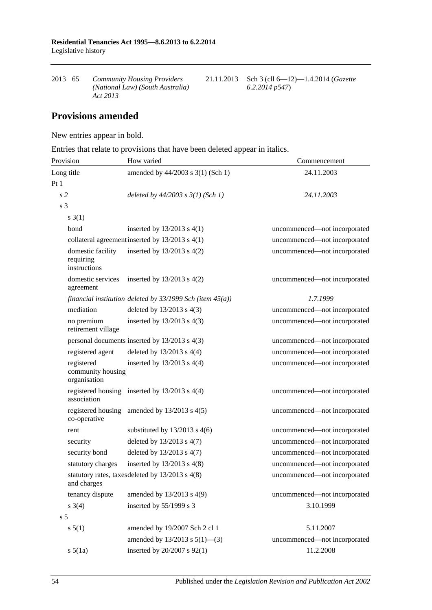2013 65 *Community Housing Providers (National Law) (South Australia) Act 2013* 21.11.2013 Sch 3 (cll 6—12)—1.4.2014 (*Gazette 6.2.2014 p547*)

## **Provisions amended**

New entries appear in bold.

Entries that relate to provisions that have been deleted appear in italics.

| Provision                                       | How varied                                                     | Commencement                 |
|-------------------------------------------------|----------------------------------------------------------------|------------------------------|
| Long title                                      | amended by 44/2003 s 3(1) (Sch 1)                              | 24.11.2003                   |
| Pt1                                             |                                                                |                              |
| s <sub>2</sub>                                  | deleted by $44/2003$ s $3(1)$ (Sch 1)                          | 24.11.2003                   |
| s 3                                             |                                                                |                              |
| $s \; 3(1)$                                     |                                                                |                              |
| bond                                            | inserted by $13/2013$ s $4(1)$                                 | uncommenced—not incorporated |
|                                                 | collateral agreement inserted by $13/2013$ s $4(1)$            | uncommenced-not incorporated |
| domestic facility<br>requiring<br>instructions  | inserted by $13/2013$ s $4(2)$                                 | uncommenced-not incorporated |
| domestic services<br>agreement                  | inserted by $13/2013$ s $4(2)$                                 | uncommenced-not incorporated |
|                                                 | financial institution deleted by $33/1999$ Sch (item $45(a)$ ) | 1.7.1999                     |
| mediation                                       | deleted by $13/2013$ s $4(3)$                                  | uncommenced-not incorporated |
| no premium<br>retirement village                | inserted by $13/2013$ s $4(3)$                                 | uncommenced-not incorporated |
|                                                 | personal documents inserted by 13/2013 s 4(3)                  | uncommenced-not incorporated |
| registered agent                                | deleted by $13/2013$ s $4(4)$                                  | uncommenced-not incorporated |
| registered<br>community housing<br>organisation | inserted by $13/2013$ s $4(4)$                                 | uncommenced-not incorporated |
| association                                     | registered housing inserted by $13/2013$ s 4(4)                | uncommenced-not incorporated |
| registered housing<br>co-operative              | amended by $13/2013$ s $4(5)$                                  | uncommenced-not incorporated |
| rent                                            | substituted by $13/2013$ s 4(6)                                | uncommenced-not incorporated |
| security                                        | deleted by $13/2013$ s $4(7)$                                  | uncommenced-not incorporated |
| security bond                                   | deleted by $13/2013$ s $4(7)$                                  | uncommenced-not incorporated |
| statutory charges                               | inserted by $13/2013$ s $4(8)$                                 | uncommenced-not incorporated |
| and charges                                     | statutory rates, taxes deleted by 13/2013 s 4(8)               | uncommenced-not incorporated |
| tenancy dispute                                 | amended by 13/2013 s 4(9)                                      | uncommenced-not incorporated |
| $s \; 3(4)$                                     | inserted by 55/1999 s 3                                        | 3.10.1999                    |
| s <sub>5</sub>                                  |                                                                |                              |
| s 5(1)                                          | amended by 19/2007 Sch 2 cl 1                                  | 5.11.2007                    |
|                                                 | amended by $13/2013$ s $5(1)$ —(3)                             | uncommenced-not incorporated |
| $s\ 5(1a)$                                      | inserted by 20/2007 s 92(1)                                    | 11.2.2008                    |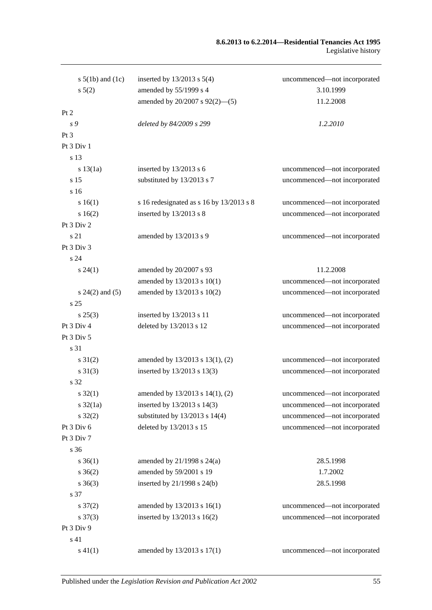#### **8.6.2013 to 6.2.2014—Residential Tenancies Act 1995** Legislative history

| s $5(1b)$ and $(1c)$ | inserted by $13/2013$ s $5(4)$           | uncommenced-not incorporated |
|----------------------|------------------------------------------|------------------------------|
| $s\ 5(2)$            | amended by 55/1999 s 4                   | 3.10.1999                    |
|                      | amended by 20/2007 s 92(2)-(5)           | 11.2.2008                    |
| Pt 2                 |                                          |                              |
| s 9                  | deleted by 84/2009 s 299                 | 1.2.2010                     |
| Pt 3                 |                                          |                              |
| Pt 3 Div 1           |                                          |                              |
| s 13                 |                                          |                              |
| s 13(1a)             | inserted by $13/2013$ s 6                | uncommenced—not incorporated |
| s 15                 | substituted by 13/2013 s 7               | uncommenced-not incorporated |
| s 16                 |                                          |                              |
| s 16(1)              | s 16 redesignated as s 16 by 13/2013 s 8 | uncommenced-not incorporated |
| s16(2)               | inserted by 13/2013 s 8                  | uncommenced-not incorporated |
| Pt 3 Div 2           |                                          |                              |
| s 21                 | amended by 13/2013 s 9                   | uncommenced-not incorporated |
| Pt 3 Div 3           |                                          |                              |
| s24                  |                                          |                              |
| $s\,24(1)$           | amended by 20/2007 s 93                  | 11.2.2008                    |
|                      | amended by 13/2013 s 10(1)               | uncommenced-not incorporated |
| $s 24(2)$ and (5)    | amended by 13/2013 s 10(2)               | uncommenced-not incorporated |
| s 25                 |                                          |                              |
| $s\,25(3)$           | inserted by 13/2013 s 11                 | uncommenced-not incorporated |
| Pt 3 Div 4           | deleted by 13/2013 s 12                  | uncommenced-not incorporated |
| Pt 3 Div 5           |                                          |                              |
| s 31                 |                                          |                              |
| $s \, 31(2)$         | amended by 13/2013 s 13(1), (2)          | uncommenced-not incorporated |
| $s \, 31(3)$         | inserted by 13/2013 s 13(3)              | uncommenced-not incorporated |
| s 32                 |                                          |                              |
| s 32(1)              | amended by $13/2013$ s $14(1)$ , (2)     | uncommenced—not incorporated |
| $s \frac{32}{1a}$    | inserted by 13/2013 s 14(3)              | uncommenced-not incorporated |
| $s \, 32(2)$         | substituted by $13/2013$ s $14(4)$       | uncommenced-not incorporated |
| Pt 3 Div 6           | deleted by 13/2013 s 15                  | uncommenced-not incorporated |
| Pt 3 Div 7           |                                          |                              |
| s 36                 |                                          |                              |
| $s \; 36(1)$         | amended by $21/1998$ s $24(a)$           | 28.5.1998                    |
| $s \; 36(2)$         | amended by 59/2001 s 19                  | 1.7.2002                     |
| $s \; 36(3)$         | inserted by 21/1998 s 24(b)              | 28.5.1998                    |
| s 37                 |                                          |                              |
| $s \frac{37(2)}{2}$  | amended by 13/2013 s 16(1)               | uncommenced-not incorporated |
| $s \frac{37(3)}{2}$  | inserted by 13/2013 s 16(2)              | uncommenced-not incorporated |
| Pt 3 Div 9           |                                          |                              |
| s 41                 |                                          |                              |
| $s\ 41(1)$           | amended by 13/2013 s 17(1)               | uncommenced-not incorporated |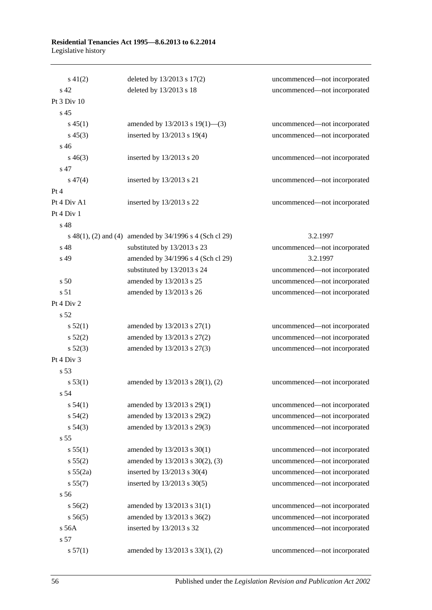#### **Residential Tenancies Act 1995—8.6.2013 to 6.2.2014** Legislative history

| $s\ 41(2)$      | deleted by 13/2013 s 17(2)                              | uncommenced-not incorporated |
|-----------------|---------------------------------------------------------|------------------------------|
| s 42            | deleted by 13/2013 s 18                                 | uncommenced-not incorporated |
| Pt 3 Div 10     |                                                         |                              |
| s <sub>45</sub> |                                                         |                              |
| $s\,45(1)$      | amended by $13/2013$ s $19(1)$ —(3)                     | uncommenced-not incorporated |
| $s\,45(3)$      | inserted by 13/2013 s 19(4)                             | uncommenced-not incorporated |
| $s\,46$         |                                                         |                              |
| $s\,46(3)$      | inserted by $13/2013$ s 20                              | uncommenced-not incorporated |
| s 47            |                                                         |                              |
| $s\,47(4)$      | inserted by $13/2013$ s 21                              | uncommenced-not incorporated |
| Pt 4            |                                                         |                              |
| Pt 4 Div A1     | inserted by 13/2013 s 22                                | uncommenced-not incorporated |
| Pt 4 Div 1      |                                                         |                              |
| s <sub>48</sub> |                                                         |                              |
|                 | s 48(1), (2) and (4) amended by 34/1996 s 4 (Sch cl 29) | 3.2.1997                     |
| s 48            | substituted by 13/2013 s 23                             | uncommenced-not incorporated |
| s 49            | amended by 34/1996 s 4 (Sch cl 29)                      | 3.2.1997                     |
|                 | substituted by 13/2013 s 24                             | uncommenced-not incorporated |
| s <sub>50</sub> | amended by 13/2013 s 25                                 | uncommenced-not incorporated |
| s 51            | amended by 13/2013 s 26                                 | uncommenced-not incorporated |
| Pt 4 Div 2      |                                                         |                              |
| s 52            |                                                         |                              |
| s 52(1)         | amended by 13/2013 s 27(1)                              | uncommenced-not incorporated |
| s 52(2)         | amended by 13/2013 s 27(2)                              | uncommenced-not incorporated |
| $s\,52(3)$      | amended by 13/2013 s 27(3)                              | uncommenced-not incorporated |
| Pt 4 Div 3      |                                                         |                              |
| s <sub>53</sub> |                                                         |                              |
| s 53(1)         | amended by 13/2013 s 28(1), (2)                         | uncommenced-not incorporated |
| s 54            |                                                         |                              |
| s 54(1)         | amended by 13/2013 s 29(1)                              | uncommenced-not incorporated |
| s 54(2)         | amended by 13/2013 s 29(2)                              | uncommenced-not incorporated |
| $s\,54(3)$      | amended by 13/2013 s 29(3)                              | uncommenced-not incorporated |
| s <sub>55</sub> |                                                         |                              |
| s 55(1)         | amended by 13/2013 s 30(1)                              | uncommenced-not incorporated |
| s 55(2)         | amended by 13/2013 s 30(2), (3)                         | uncommenced-not incorporated |
| s 55(2a)        | inserted by 13/2013 s 30(4)                             | uncommenced-not incorporated |
| s 55(7)         | inserted by 13/2013 s 30(5)                             | uncommenced-not incorporated |
| s 56            |                                                         |                              |
| s 56(2)         | amended by $13/2013$ s $31(1)$                          | uncommenced-not incorporated |
| s 56(5)         | amended by 13/2013 s 36(2)                              | uncommenced-not incorporated |
| $s$ 56A         | inserted by 13/2013 s 32                                | uncommenced-not incorporated |
| s 57            |                                                         |                              |
| s 57(1)         | amended by 13/2013 s 33(1), (2)                         | uncommenced-not incorporated |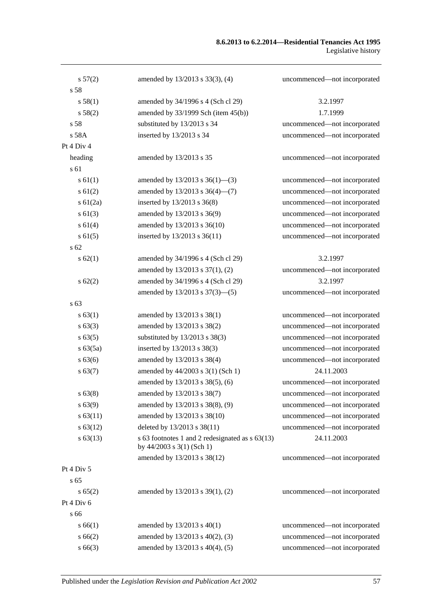#### **8.6.2013 to 6.2.2014—Residential Tenancies Act 1995** Legislative history

| s 57(2)       | amended by 13/2013 s 33(3), (4)                                                  | uncommenced-not incorporated |
|---------------|----------------------------------------------------------------------------------|------------------------------|
| s 58          |                                                                                  |                              |
| s 58(1)       | amended by 34/1996 s 4 (Sch cl 29)                                               | 3.2.1997                     |
| s 58(2)       | amended by $33/1999$ Sch (item $45(b)$ )                                         | 1.7.1999                     |
| s 58          | substituted by 13/2013 s 34                                                      | uncommenced-not incorporated |
| s 58A         | inserted by 13/2013 s 34                                                         | uncommenced-not incorporated |
| Pt 4 Div 4    |                                                                                  |                              |
| heading       | amended by 13/2013 s 35                                                          | uncommenced-not incorporated |
| s 61          |                                                                                  |                              |
| $s \, 61(1)$  | amended by $13/2013$ s $36(1)$ —(3)                                              | uncommenced-not incorporated |
| $s \ 61(2)$   | amended by $13/2013$ s $36(4)$ — $(7)$                                           | uncommenced-not incorporated |
| $s \, 61(2a)$ | inserted by 13/2013 s 36(8)                                                      | uncommenced-not incorporated |
| $s \ 61(3)$   | amended by 13/2013 s 36(9)                                                       | uncommenced-not incorporated |
| s 61(4)       | amended by 13/2013 s 36(10)                                                      | uncommenced-not incorporated |
| s 61(5)       | inserted by 13/2013 s 36(11)                                                     | uncommenced-not incorporated |
| s 62          |                                                                                  |                              |
| s 62(1)       | amended by 34/1996 s 4 (Sch cl 29)                                               | 3.2.1997                     |
|               | amended by 13/2013 s 37(1), (2)                                                  | uncommenced-not incorporated |
| $s \, 62(2)$  | amended by 34/1996 s 4 (Sch cl 29)                                               | 3.2.1997                     |
|               | amended by 13/2013 s 37(3)–(5)                                                   | uncommenced-not incorporated |
| s 63          |                                                                                  |                              |
| s 63(1)       | amended by 13/2013 s 38(1)                                                       | uncommenced-not incorporated |
| s 63(3)       | amended by 13/2013 s 38(2)                                                       | uncommenced-not incorporated |
| s 63(5)       | substituted by $13/2013$ s $38(3)$                                               | uncommenced-not incorporated |
| s 63(5a)      | inserted by 13/2013 s 38(3)                                                      | uncommenced-not incorporated |
| s 63(6)       | amended by 13/2013 s 38(4)                                                       | uncommenced-not incorporated |
| s 63(7)       | amended by 44/2003 s 3(1) (Sch 1)                                                | 24.11.2003                   |
|               | amended by 13/2013 s 38(5), (6)                                                  | uncommenced-not incorporated |
| $s\,63(8)$    | amended by 13/2013 s 38(7)                                                       | uncommenced—not incorporated |
| s 63(9)       | amended by 13/2013 s 38(8), (9)                                                  | uncommenced-not incorporated |
| s 63(11)      | amended by 13/2013 s 38(10)                                                      | uncommenced-not incorporated |
| $s\,63(12)$   | deleted by 13/2013 s 38(11)                                                      | uncommenced-not incorporated |
| $s\,63(13)$   | s 63 footnotes 1 and 2 redesignated as s 63(13)<br>by $44/2003$ s $3(1)$ (Sch 1) | 24.11.2003                   |
|               | amended by 13/2013 s 38(12)                                                      | uncommenced-not incorporated |
| Pt 4 Div 5    |                                                                                  |                              |
| s 65          |                                                                                  |                              |
| s 65(2)       | amended by $13/2013$ s $39(1)$ , (2)                                             | uncommenced-not incorporated |
| Pt 4 Div 6    |                                                                                  |                              |
| s 66          |                                                                                  |                              |
| s 66(1)       | amended by $13/2013$ s $40(1)$                                                   | uncommenced-not incorporated |
| s 66(2)       | amended by 13/2013 s 40(2), (3)                                                  | uncommenced-not incorporated |
| $s\,66(3)$    | amended by 13/2013 s 40(4), (5)                                                  | uncommenced-not incorporated |
|               |                                                                                  |                              |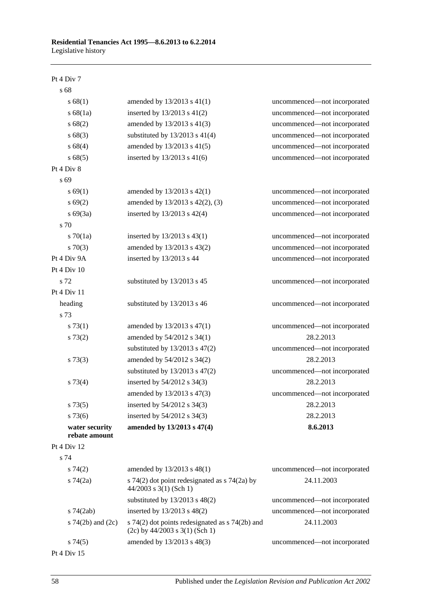#### Pt 4 Div 7

| s 68                            |                                                                                         |                              |
|---------------------------------|-----------------------------------------------------------------------------------------|------------------------------|
| s 68(1)                         | amended by 13/2013 s 41(1)                                                              | uncommenced-not incorporated |
| s 68(1a)                        | inserted by $13/2013$ s $41(2)$                                                         | uncommenced-not incorporated |
| s 68(2)                         | amended by 13/2013 s 41(3)                                                              | uncommenced-not incorporated |
| s68(3)                          | substituted by $13/2013$ s $41(4)$                                                      | uncommenced-not incorporated |
| s 68(4)                         | amended by 13/2013 s 41(5)                                                              | uncommenced-not incorporated |
| s 68(5)                         | inserted by 13/2013 s 41(6)                                                             | uncommenced-not incorporated |
| Pt 4 Div 8                      |                                                                                         |                              |
| s 69                            |                                                                                         |                              |
| s 69(1)                         | amended by 13/2013 s 42(1)                                                              | uncommenced-not incorporated |
| s 69(2)                         | amended by 13/2013 s 42(2), (3)                                                         | uncommenced-not incorporated |
| $s\ 69(3a)$                     | inserted by 13/2013 s 42(4)                                                             | uncommenced-not incorporated |
| s 70                            |                                                                                         |                              |
| $s \, 70(1a)$                   | inserted by $13/2013$ s $43(1)$                                                         | uncommenced-not incorporated |
| $s \, 70(3)$                    | amended by 13/2013 s 43(2)                                                              | uncommenced-not incorporated |
| Pt 4 Div 9A                     | inserted by 13/2013 s 44                                                                | uncommenced-not incorporated |
| Pt 4 Div 10                     |                                                                                         |                              |
| s 72                            | substituted by 13/2013 s 45                                                             | uncommenced-not incorporated |
| Pt 4 Div 11                     |                                                                                         |                              |
| heading                         | substituted by 13/2013 s 46                                                             | uncommenced-not incorporated |
| s 73                            |                                                                                         |                              |
| $s \, 73(1)$                    | amended by 13/2013 s 47(1)                                                              | uncommenced-not incorporated |
| s 73(2)                         | amended by 54/2012 s 34(1)                                                              | 28.2.2013                    |
|                                 | substituted by $13/2013$ s $47(2)$                                                      | uncommenced-not incorporated |
| $s \, 73(3)$                    | amended by 54/2012 s 34(2)                                                              | 28.2.2013                    |
|                                 | substituted by $13/2013$ s $47(2)$                                                      | uncommenced-not incorporated |
| $s \, 73(4)$                    | inserted by 54/2012 s 34(3)                                                             | 28.2.2013                    |
|                                 | amended by 13/2013 s 47(3)                                                              | uncommenced-not incorporated |
| s 73(5)                         | inserted by 54/2012 s 34(3)                                                             | 28.2.2013                    |
| $s\,73(6)$                      | inserted by 54/2012 s 34(3)                                                             | 28.2.2013                    |
| water security<br>rebate amount | amended by 13/2013 s 47(4)                                                              | 8.6.2013                     |
| Pt 4 Div 12                     |                                                                                         |                              |
| s 74                            |                                                                                         |                              |
| $s \, 74(2)$                    | amended by 13/2013 s 48(1)                                                              | uncommenced-not incorporated |
| $s \, 74(2a)$                   | s 74(2) dot point redesignated as $\frac{1}{2}$ 74(2a) by<br>$44/2003$ s 3(1) (Sch 1)   | 24.11.2003                   |
|                                 | substituted by $13/2013$ s $48(2)$                                                      | uncommenced-not incorporated |
| $s\,74(2ab)$                    | inserted by 13/2013 s 48(2)                                                             | uncommenced-not incorporated |
| s $74(2b)$ and $(2c)$           | s $74(2)$ dot points redesignated as s $74(2b)$ and<br>$(2c)$ by 44/2003 s 3(1) (Sch 1) | 24.11.2003                   |
| s74(5)                          | amended by 13/2013 s 48(3)                                                              | uncommenced-not incorporated |

Pt 4 Div 15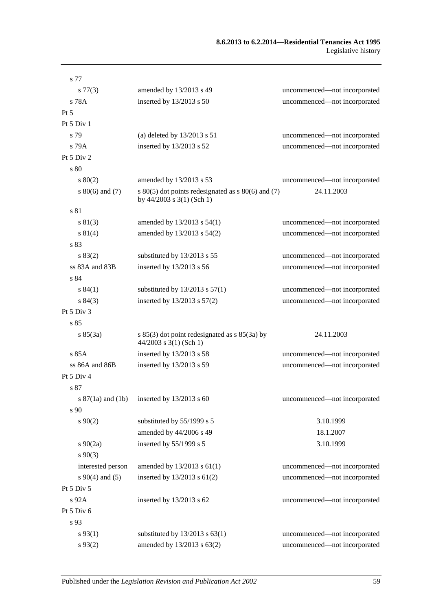#### **8.6.2013 to 6.2.2014—Residential Tenancies Act 1995** Legislative history

| s 77                  |                                                                                     |                              |
|-----------------------|-------------------------------------------------------------------------------------|------------------------------|
| $s\,77(3)$            | amended by 13/2013 s 49                                                             | uncommenced-not incorporated |
| s 78A                 | inserted by 13/2013 s 50                                                            | uncommenced-not incorporated |
| $Pt\,5$               |                                                                                     |                              |
| Pt 5 Div 1            |                                                                                     |                              |
| s 79                  | (a) deleted by $13/2013$ s $51$                                                     | uncommenced-not incorporated |
| s 79A                 | inserted by 13/2013 s 52                                                            | uncommenced-not incorporated |
| Pt 5 Div 2            |                                                                                     |                              |
| s 80                  |                                                                                     |                              |
| 80(2)                 | amended by 13/2013 s 53                                                             | uncommenced-not incorporated |
| $s\ 80(6)$ and (7)    | s $80(5)$ dot points redesignated as s $80(6)$ and (7)<br>by 44/2003 s 3(1) (Sch 1) | 24.11.2003                   |
| s 81                  |                                                                                     |                              |
| s 81(3)               | amended by 13/2013 s 54(1)                                                          | uncommenced-not incorporated |
| s 81(4)               | amended by 13/2013 s 54(2)                                                          | uncommenced-not incorporated |
| s 83                  |                                                                                     |                              |
| s 83(2)               | substituted by 13/2013 s 55                                                         | uncommenced-not incorporated |
| ss 83A and 83B        | inserted by 13/2013 s 56                                                            | uncommenced-not incorporated |
| s 84                  |                                                                                     |                              |
| s 84(1)               | substituted by $13/2013$ s $57(1)$                                                  | uncommenced-not incorporated |
| s 84(3)               | inserted by $13/2013$ s $57(2)$                                                     | uncommenced-not incorporated |
| Pt 5 Div 3            |                                                                                     |                              |
| s 85                  |                                                                                     |                              |
| s 85(3a)              | s 85(3) dot point redesignated as s 85(3a) by<br>$44/2003$ s 3(1) (Sch 1)           | 24.11.2003                   |
| s 85A                 | inserted by 13/2013 s 58                                                            | uncommenced-not incorporated |
| ss 86A and 86B        | inserted by 13/2013 s 59                                                            | uncommenced-not incorporated |
| Pt 5 Div 4            |                                                                                     |                              |
| s 87                  |                                                                                     |                              |
| s $87(1a)$ and $(1b)$ | inserted by $13/2013$ s 60                                                          | uncommenced-not incorporated |
| s 90                  |                                                                                     |                              |
| $s\,90(2)$            | substituted by 55/1999 s 5                                                          | 3.10.1999                    |
|                       | amended by 44/2006 s 49                                                             | 18.1.2007                    |
| $s \ 90(2a)$          | inserted by 55/1999 s 5                                                             | 3.10.1999                    |
| $s\,90(3)$            |                                                                                     |                              |
| interested person     | amended by 13/2013 s 61(1)                                                          | uncommenced-not incorporated |
| $s\ 90(4)$ and (5)    | inserted by 13/2013 s 61(2)                                                         | uncommenced-not incorporated |
| Pt 5 Div 5            |                                                                                     |                              |
| s 92A                 | inserted by $13/2013$ s 62                                                          | uncommenced-not incorporated |
| Pt 5 Div 6            |                                                                                     |                              |
| s 93                  |                                                                                     |                              |
| $s\,93(1)$            | substituted by $13/2013$ s $63(1)$                                                  | uncommenced-not incorporated |
| $s\,93(2)$            | amended by 13/2013 s 63(2)                                                          | uncommenced-not incorporated |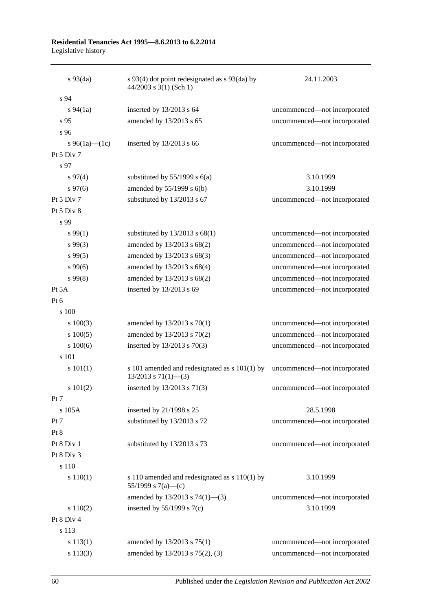#### **Residential Tenancies Act 1995—8.6.2013 to 6.2.2014** Legislative history

| $s\,93(4a)$    | s 93(4) dot point redesignated as s 93(4a) by<br>$44/2003$ s 3(1) (Sch 1)    | 24.11.2003                   |
|----------------|------------------------------------------------------------------------------|------------------------------|
| s 94           |                                                                              |                              |
| $s\,94(1a)$    | inserted by 13/2013 s 64                                                     | uncommenced-not incorporated |
| s 95           | amended by 13/2013 s 65                                                      | uncommenced-not incorporated |
| s 96           |                                                                              |                              |
| s 96(1a)—(1c)  | inserted by $13/2013$ s 66                                                   | uncommenced-not incorporated |
| Pt $5$ Div $7$ |                                                                              |                              |
| s 97           |                                                                              |                              |
| $s\,97(4)$     | substituted by $55/1999$ s $6(a)$                                            | 3.10.1999                    |
| $s\,97(6)$     | amended by $55/1999$ s $6(b)$                                                | 3.10.1999                    |
| Pt $5$ Div $7$ | substituted by 13/2013 s 67                                                  | uncommenced-not incorporated |
| Pt 5 Div 8     |                                                                              |                              |
| s 99           |                                                                              |                              |
| $s\,99(1)$     | substituted by 13/2013 s 68(1)                                               | uncommenced-not incorporated |
| $s\,99(3)$     | amended by 13/2013 s 68(2)                                                   | uncommenced-not incorporated |
| $s\,99(5)$     | amended by 13/2013 s 68(3)                                                   | uncommenced-not incorporated |
| $s\,99(6)$     | amended by 13/2013 s 68(4)                                                   | uncommenced-not incorporated |
| $s\,99(8)$     | amended by 13/2013 s 68(2)                                                   | uncommenced-not incorporated |
| Pt $5A$        | inserted by 13/2013 s 69                                                     | uncommenced-not incorporated |
| Pt 6           |                                                                              |                              |
| s 100          |                                                                              |                              |
| $s\ 100(3)$    | amended by 13/2013 s 70(1)                                                   | uncommenced-not incorporated |
| $s\ 100(5)$    | amended by 13/2013 s 70(2)                                                   | uncommenced-not incorporated |
| s 100(6)       | inserted by 13/2013 s 70(3)                                                  | uncommenced-not incorporated |
| s 101          |                                                                              |                              |
| s 101(1)       | s 101 amended and redesignated as $s$ 101(1) by<br>$13/2013$ s $71(1)$ - (3) | uncommenced-not incorporated |
| s 101(2)       | inserted by 13/2013 s 71(3)                                                  | uncommenced-not incorporated |
| Pt 7           |                                                                              |                              |
| s 105A         | inserted by 21/1998 s 25                                                     | 28.5.1998                    |
| Pt 7           | substituted by 13/2013 s 72                                                  | uncommenced-not incorporated |
| Pt 8           |                                                                              |                              |
| Pt 8 Div 1     | substituted by 13/2013 s 73                                                  | uncommenced-not incorporated |
| Pt 8 Div 3     |                                                                              |                              |
| $\sqrt{s}$ 110 |                                                                              |                              |
| s 110(1)       | s 110 amended and redesignated as s 110(1) by<br>55/1999 s 7(a)—(c)          | 3.10.1999                    |
|                | amended by $13/2013$ s $74(1)$ —(3)                                          | uncommenced-not incorporated |
| s 110(2)       | inserted by $55/1999$ s $7(c)$                                               | 3.10.1999                    |
| Pt 8 Div 4     |                                                                              |                              |
| s 113          |                                                                              |                              |
| s 113(1)       | amended by 13/2013 s 75(1)                                                   | uncommenced-not incorporated |
| s 113(3)       | amended by 13/2013 s 75(2), (3)                                              | uncommenced-not incorporated |

60 Published under the *Legislation Revision and Publication Act 2002*